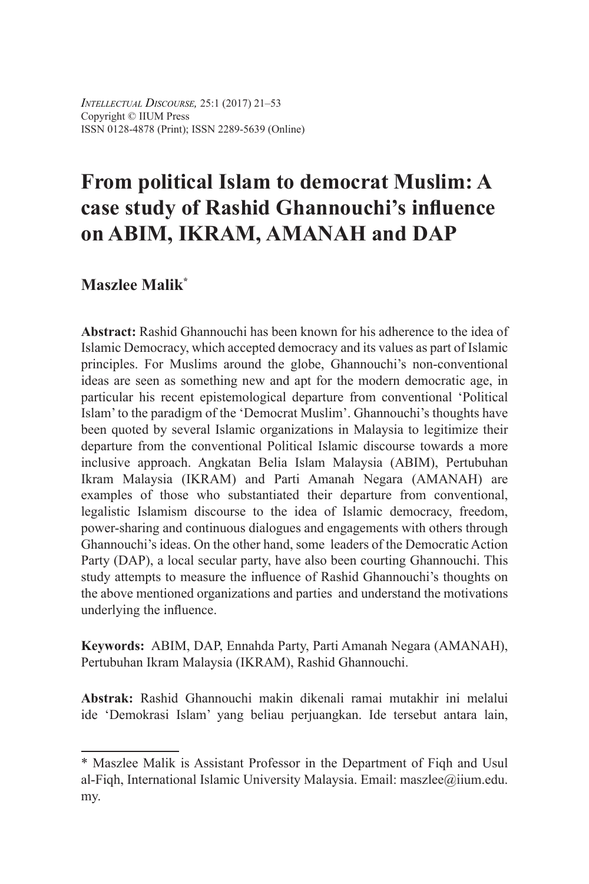*Intellectual Discourse,* 25:1 (2017) 21–53 Copyright © IIUM Press ISSN 0128-4878 (Print); ISSN 2289-5639 (Online)

# **From political Islam to democrat Muslim: A case study of Rashid Ghannouchi's influence on ABIM, IKRAM, AMANAH and DAP**

# **Maszlee Malik\***

**Abstract:** Rashid Ghannouchi has been known for his adherence to the idea of Islamic Democracy, which accepted democracy and its values as part of Islamic principles. For Muslims around the globe, Ghannouchi's non-conventional ideas are seen as something new and apt for the modern democratic age, in particular his recent epistemological departure from conventional 'Political Islam' to the paradigm of the 'Democrat Muslim'. Ghannouchi's thoughts have been quoted by several Islamic organizations in Malaysia to legitimize their departure from the conventional Political Islamic discourse towards a more inclusive approach. Angkatan Belia Islam Malaysia (ABIM), Pertubuhan Ikram Malaysia (IKRAM) and Parti Amanah Negara (AMANAH) are examples of those who substantiated their departure from conventional, legalistic Islamism discourse to the idea of Islamic democracy, freedom, power-sharing and continuous dialogues and engagements with others through Ghannouchi's ideas. On the other hand, some leaders of the Democratic Action Party (DAP), a local secular party, have also been courting Ghannouchi. This study attempts to measure the influence of Rashid Ghannouchi's thoughts on the above mentioned organizations and parties and understand the motivations underlying the influence.

**Keywords:** ABIM, DAP, Ennahda Party, Parti Amanah Negara (AMANAH), Pertubuhan Ikram Malaysia (IKRAM), Rashid Ghannouchi.

**Abstrak:** Rashid Ghannouchi makin dikenali ramai mutakhir ini melalui ide 'Demokrasi Islam' yang beliau perjuangkan. Ide tersebut antara lain,

<sup>\*</sup> Maszlee Malik is Assistant Professor in the Department of Fiqh and Usul al-Fiqh, International Islamic University Malaysia. Email: maszlee@iium.edu. my.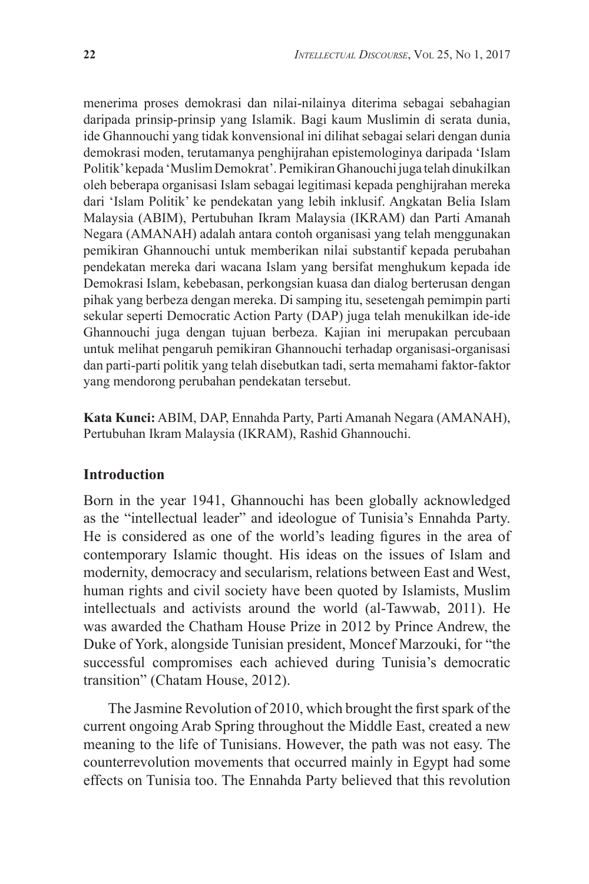menerima proses demokrasi dan nilai-nilainya diterima sebagai sebahagian daripada prinsip-prinsip yang Islamik. Bagi kaum Muslimin di serata dunia, ide Ghannouchi yang tidak konvensional ini dilihat sebagai selari dengan dunia demokrasi moden, terutamanya penghijrahan epistemologinya daripada 'Islam Politik' kepada 'Muslim Demokrat'. Pemikiran Ghanouchi juga telah dinukilkan oleh beberapa organisasi Islam sebagai legitimasi kepada penghijrahan mereka dari 'Islam Politik' ke pendekatan yang lebih inklusif. Angkatan Belia Islam Malaysia (ABIM), Pertubuhan Ikram Malaysia (IKRAM) dan Parti Amanah Negara (AMANAH) adalah antara contoh organisasi yang telah menggunakan pemikiran Ghannouchi untuk memberikan nilai substantif kepada perubahan pendekatan mereka dari wacana Islam yang bersifat menghukum kepada ide Demokrasi Islam, kebebasan, perkongsian kuasa dan dialog berterusan dengan pihak yang berbeza dengan mereka. Di samping itu, sesetengah pemimpin parti sekular seperti Democratic Action Party (DAP) juga telah menukilkan ide-ide Ghannouchi juga dengan tujuan berbeza. Kajian ini merupakan percubaan untuk melihat pengaruh pemikiran Ghannouchi terhadap organisasi-organisasi dan parti-parti politik yang telah disebutkan tadi, serta memahami faktor-faktor yang mendorong perubahan pendekatan tersebut.

**Kata Kunci:** ABIM, DAP, Ennahda Party, Parti Amanah Negara (AMANAH), Pertubuhan Ikram Malaysia (IKRAM), Rashid Ghannouchi.

## **Introduction**

Born in the year 1941, Ghannouchi has been globally acknowledged as the "intellectual leader" and ideologue of Tunisia's Ennahda Party. He is considered as one of the world's leading figures in the area of contemporary Islamic thought. His ideas on the issues of Islam and modernity, democracy and secularism, relations between East and West, human rights and civil society have been quoted by Islamists, Muslim intellectuals and activists around the world (al-Tawwab, 2011). He was awarded the Chatham House Prize in 2012 by Prince Andrew, the Duke of York, alongside Tunisian president, Moncef Marzouki, for "the successful compromises each achieved during Tunisia's democratic transition" (Chatam House, 2012).

The Jasmine Revolution of 2010, which brought the first spark of the current ongoing Arab Spring throughout the Middle East, created a new meaning to the life of Tunisians. However, the path was not easy. The counterrevolution movements that occurred mainly in Egypt had some effects on Tunisia too. The Ennahda Party believed that this revolution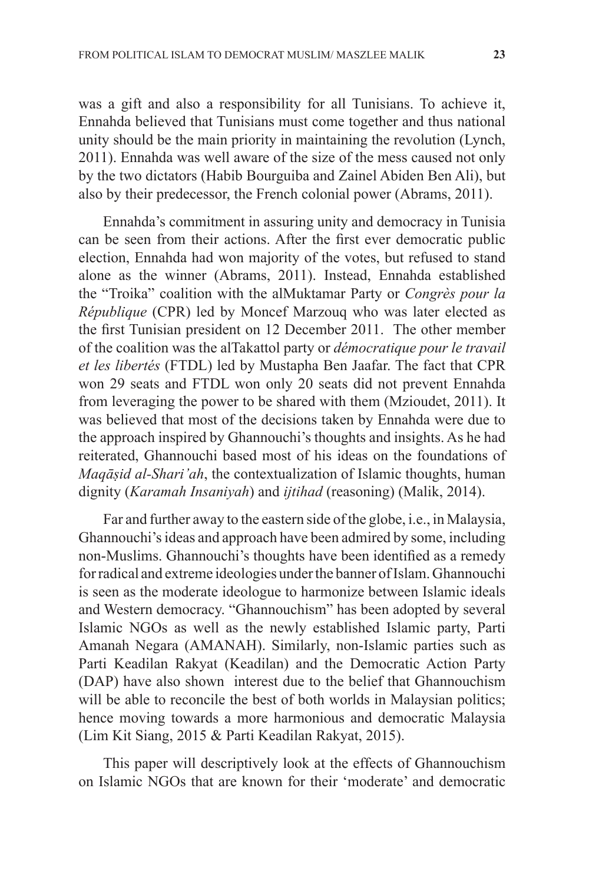was a gift and also a responsibility for all Tunisians. To achieve it, Ennahda believed that Tunisians must come together and thus national unity should be the main priority in maintaining the revolution (Lynch, 2011). Ennahda was well aware of the size of the mess caused not only by the two dictators (Habib Bourguiba and Zainel Abiden Ben Ali), but also by their predecessor, the French colonial power (Abrams, 2011).

Ennahda's commitment in assuring unity and democracy in Tunisia can be seen from their actions. After the first ever democratic public election, Ennahda had won majority of the votes, but refused to stand alone as the winner (Abrams, 2011). Instead, Ennahda established the "Troika" coalition with the alMuktamar Party or *Congrès pour la République* (CPR) led by Moncef Marzouq who was later elected as the first Tunisian president on 12 December 2011. The other member of the coalition was the alTakattol party or *démocratique pour le travail et les libertés* (FTDL) led by Mustapha Ben Jaafar. The fact that CPR won 29 seats and FTDL won only 20 seats did not prevent Ennahda from leveraging the power to be shared with them (Mzioudet, 2011). It was believed that most of the decisions taken by Ennahda were due to the approach inspired by Ghannouchi's thoughts and insights. As he had reiterated, Ghannouchi based most of his ideas on the foundations of *Maqāṣid al-Shari'ah*, the contextualization of Islamic thoughts, human dignity (*Karamah Insaniyah*) and *ijtihad* (reasoning) (Malik, 2014).

Far and further away to the eastern side of the globe, i.e., in Malaysia, Ghannouchi's ideas and approach have been admired by some, including non-Muslims. Ghannouchi's thoughts have been identified as a remedy for radical and extreme ideologies under the banner of Islam. Ghannouchi is seen as the moderate ideologue to harmonize between Islamic ideals and Western democracy. "Ghannouchism" has been adopted by several Islamic NGOs as well as the newly established Islamic party, Parti Amanah Negara (AMANAH). Similarly, non-Islamic parties such as Parti Keadilan Rakyat (Keadilan) and the Democratic Action Party (DAP) have also shown interest due to the belief that Ghannouchism will be able to reconcile the best of both worlds in Malaysian politics; hence moving towards a more harmonious and democratic Malaysia (Lim Kit Siang, 2015 & Parti Keadilan Rakyat, 2015).

This paper will descriptively look at the effects of Ghannouchism on Islamic NGOs that are known for their 'moderate' and democratic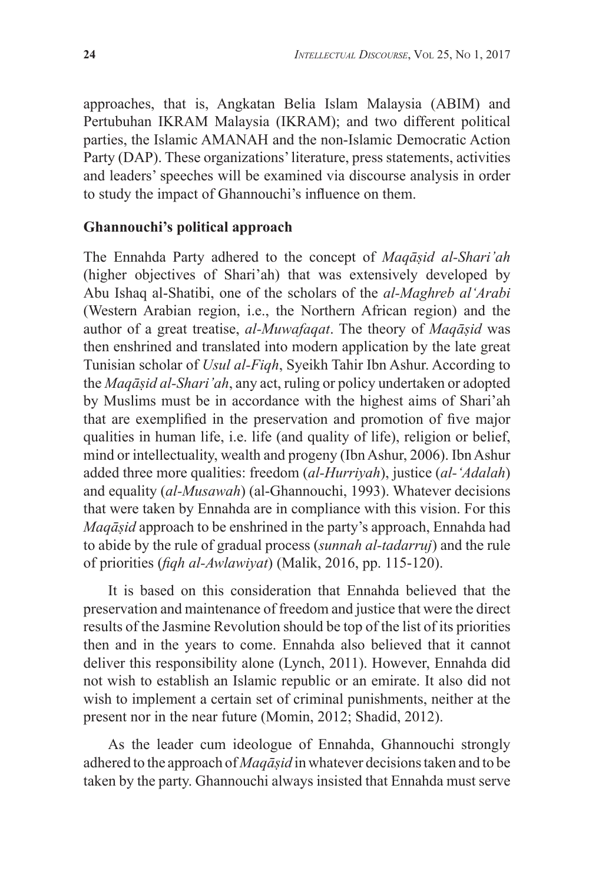approaches, that is, Angkatan Belia Islam Malaysia (ABIM) and Pertubuhan IKRAM Malaysia (IKRAM); and two different political parties, the Islamic AMANAH and the non-Islamic Democratic Action Party (DAP). These organizations' literature, press statements, activities and leaders' speeches will be examined via discourse analysis in order to study the impact of Ghannouchi's influence on them.

## **Ghannouchi's political approach**

The Ennahda Party adhered to the concept of *Maqāṣid al-Shari'ah* (higher objectives of Shari'ah) that was extensively developed by Abu Ishaq al-Shatibi, one of the scholars of the *al-Maghreb al'Arabi*  (Western Arabian region, i.e., the Northern African region) and the author of a great treatise, *al-Muwafaqat*. The theory of *Maqāṣid* was then enshrined and translated into modern application by the late great Tunisian scholar of *Usul al-Fiqh*, Syeikh Tahir Ibn Ashur. According to the *Maqāṣid al-Shari'ah*, any act, ruling or policy undertaken or adopted by Muslims must be in accordance with the highest aims of Shari'ah that are exemplified in the preservation and promotion of five major qualities in human life, i.e. life (and quality of life), religion or belief, mind or intellectuality, wealth and progeny (Ibn Ashur, 2006). Ibn Ashur added three more qualities: freedom (*al-Hurriyah*), justice (*al-'Adalah*) and equality (*al-Musawah*) (al-Ghannouchi, 1993). Whatever decisions that were taken by Ennahda are in compliance with this vision. For this *Maqāṣid* approach to be enshrined in the party's approach, Ennahda had to abide by the rule of gradual process (*sunnah al-tadarruj*) and the rule of priorities (*fiqh al-Awlawiyat*) (Malik, 2016, pp. 115-120).

It is based on this consideration that Ennahda believed that the preservation and maintenance of freedom and justice that were the direct results of the Jasmine Revolution should be top of the list of its priorities then and in the years to come. Ennahda also believed that it cannot deliver this responsibility alone (Lynch, 2011). However, Ennahda did not wish to establish an Islamic republic or an emirate. It also did not wish to implement a certain set of criminal punishments, neither at the present nor in the near future (Momin, 2012; Shadid, 2012).

As the leader cum ideologue of Ennahda, Ghannouchi strongly adhered to the approach of *Maqāṣid* in whatever decisions taken and to be taken by the party. Ghannouchi always insisted that Ennahda must serve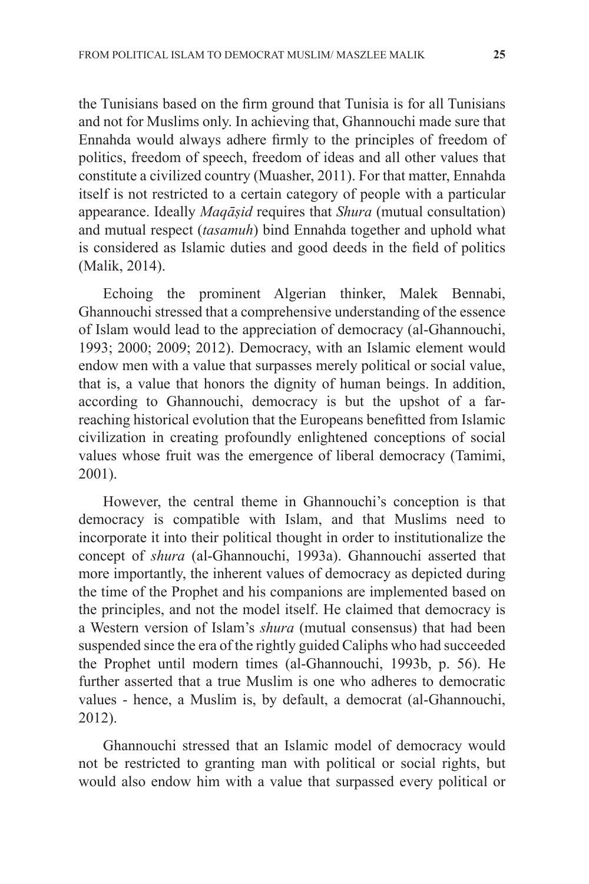the Tunisians based on the firm ground that Tunisia is for all Tunisians and not for Muslims only. In achieving that, Ghannouchi made sure that Ennahda would always adhere firmly to the principles of freedom of politics, freedom of speech, freedom of ideas and all other values that constitute a civilized country (Muasher, 2011). For that matter, Ennahda itself is not restricted to a certain category of people with a particular appearance. Ideally *Maqāṣid* requires that *Shura* (mutual consultation) and mutual respect (*tasamuh*) bind Ennahda together and uphold what is considered as Islamic duties and good deeds in the field of politics (Malik, 2014).

Echoing the prominent Algerian thinker, Malek Bennabi, Ghannouchi stressed that a comprehensive understanding of the essence of Islam would lead to the appreciation of democracy (al-Ghannouchi, 1993; 2000; 2009; 2012). Democracy, with an Islamic element would endow men with a value that surpasses merely political or social value, that is, a value that honors the dignity of human beings. In addition, according to Ghannouchi, democracy is but the upshot of a farreaching historical evolution that the Europeans benefitted from Islamic civilization in creating profoundly enlightened conceptions of social values whose fruit was the emergence of liberal democracy (Tamimi, 2001).

However, the central theme in Ghannouchi's conception is that democracy is compatible with Islam, and that Muslims need to incorporate it into their political thought in order to institutionalize the concept of *shura* (al-Ghannouchi, 1993a). Ghannouchi asserted that more importantly, the inherent values of democracy as depicted during the time of the Prophet and his companions are implemented based on the principles, and not the model itself. He claimed that democracy is a Western version of Islam's *shura* (mutual consensus) that had been suspended since the era of the rightly guided Caliphs who had succeeded the Prophet until modern times (al-Ghannouchi, 1993b, p. 56). He further asserted that a true Muslim is one who adheres to democratic values - hence, a Muslim is, by default, a democrat (al-Ghannouchi, 2012).

Ghannouchi stressed that an Islamic model of democracy would not be restricted to granting man with political or social rights, but would also endow him with a value that surpassed every political or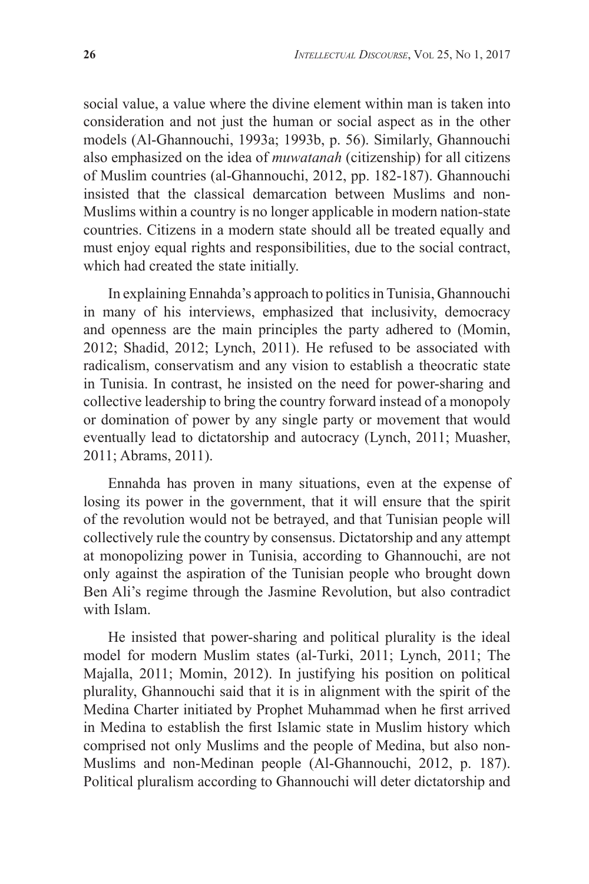social value, a value where the divine element within man is taken into consideration and not just the human or social aspect as in the other models (Al-Ghannouchi, 1993a; 1993b, p. 56). Similarly, Ghannouchi also emphasized on the idea of *muwatanah* (citizenship) for all citizens of Muslim countries (al-Ghannouchi, 2012, pp. 182-187). Ghannouchi insisted that the classical demarcation between Muslims and non-Muslims within a country is no longer applicable in modern nation-state countries. Citizens in a modern state should all be treated equally and must enjoy equal rights and responsibilities, due to the social contract, which had created the state initially.

In explaining Ennahda's approach to politics in Tunisia, Ghannouchi in many of his interviews, emphasized that inclusivity, democracy and openness are the main principles the party adhered to (Momin, 2012; Shadid, 2012; Lynch, 2011). He refused to be associated with radicalism, conservatism and any vision to establish a theocratic state in Tunisia. In contrast, he insisted on the need for power-sharing and collective leadership to bring the country forward instead of a monopoly or domination of power by any single party or movement that would eventually lead to dictatorship and autocracy (Lynch, 2011; Muasher, 2011; Abrams, 2011).

Ennahda has proven in many situations, even at the expense of losing its power in the government, that it will ensure that the spirit of the revolution would not be betrayed, and that Tunisian people will collectively rule the country by consensus. Dictatorship and any attempt at monopolizing power in Tunisia, according to Ghannouchi, are not only against the aspiration of the Tunisian people who brought down Ben Ali's regime through the Jasmine Revolution, but also contradict with Islam.

He insisted that power-sharing and political plurality is the ideal model for modern Muslim states (al-Turki, 2011; Lynch, 2011; The Majalla, 2011; Momin, 2012). In justifying his position on political plurality, Ghannouchi said that it is in alignment with the spirit of the Medina Charter initiated by Prophet Muhammad when he first arrived in Medina to establish the first Islamic state in Muslim history which comprised not only Muslims and the people of Medina, but also non-Muslims and non-Medinan people (Al-Ghannouchi, 2012, p. 187). Political pluralism according to Ghannouchi will deter dictatorship and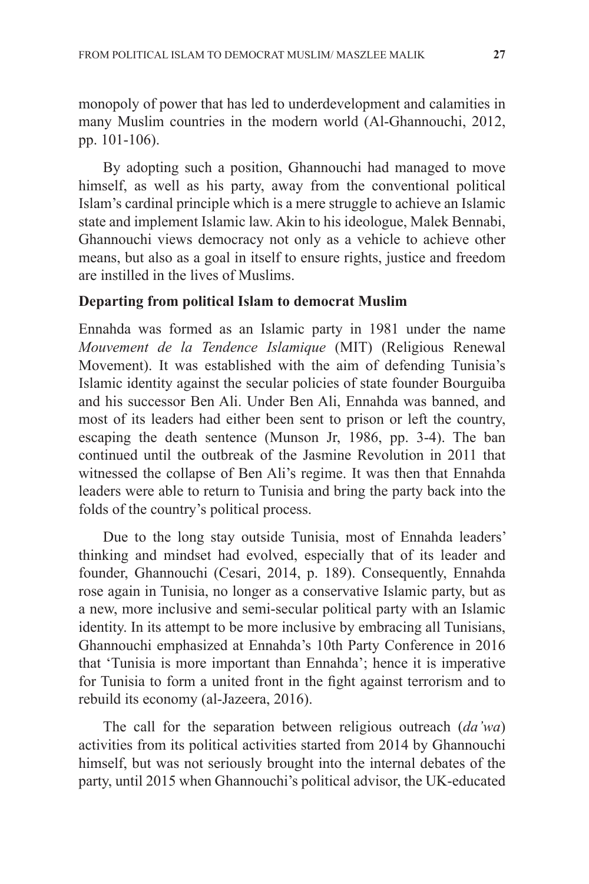monopoly of power that has led to underdevelopment and calamities in many Muslim countries in the modern world (Al-Ghannouchi, 2012, pp. 101-106).

By adopting such a position, Ghannouchi had managed to move himself, as well as his party, away from the conventional political Islam's cardinal principle which is a mere struggle to achieve an Islamic state and implement Islamic law. Akin to his ideologue, Malek Bennabi, Ghannouchi views democracy not only as a vehicle to achieve other means, but also as a goal in itself to ensure rights, justice and freedom are instilled in the lives of Muslims.

#### **Departing from political Islam to democrat Muslim**

Ennahda was formed as an Islamic party in 1981 under the name *Mouvement de la Tendence Islamique* (MIT) (Religious Renewal Movement). It was established with the aim of defending Tunisia's Islamic identity against the secular policies of state founder Bourguiba and his successor Ben Ali. Under Ben Ali, Ennahda was banned, and most of its leaders had either been sent to prison or left the country, escaping the death sentence (Munson Jr, 1986, pp. 3-4). The ban continued until the outbreak of the Jasmine Revolution in 2011 that witnessed the collapse of Ben Ali's regime. It was then that Ennahda leaders were able to return to Tunisia and bring the party back into the folds of the country's political process.

Due to the long stay outside Tunisia, most of Ennahda leaders' thinking and mindset had evolved, especially that of its leader and founder, Ghannouchi (Cesari, 2014, p. 189). Consequently, Ennahda rose again in Tunisia, no longer as a conservative Islamic party, but as a new, more inclusive and semi-secular political party with an Islamic identity. In its attempt to be more inclusive by embracing all Tunisians, Ghannouchi emphasized at Ennahda's 10th Party Conference in 2016 that 'Tunisia is more important than Ennahda'; hence it is imperative for Tunisia to form a united front in the fight against terrorism and to rebuild its economy (al-Jazeera, 2016).

The call for the separation between religious outreach (*da'wa*) activities from its political activities started from 2014 by Ghannouchi himself, but was not seriously brought into the internal debates of the party, until 2015 when Ghannouchi's political advisor, the UK-educated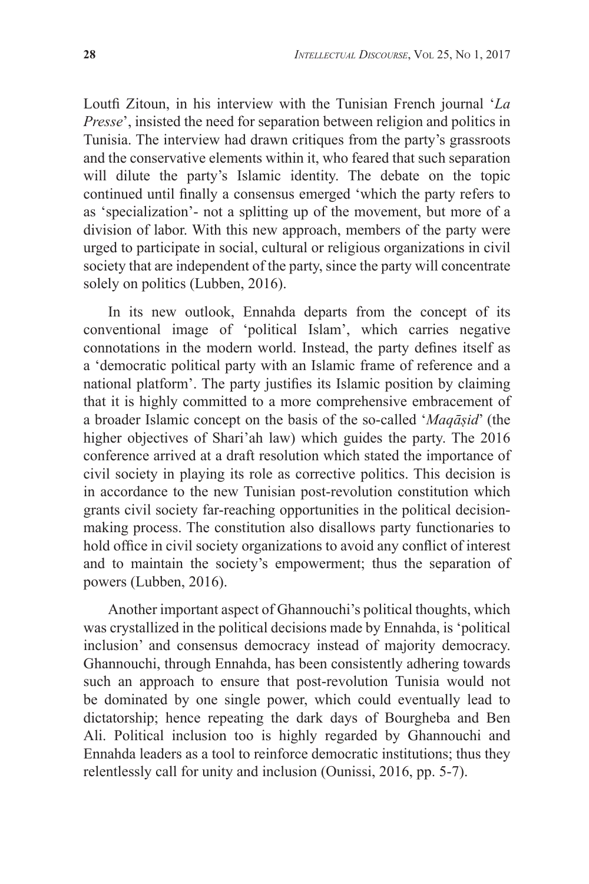Loutfi Zitoun, in his interview with the Tunisian French journal '*La Presse*', insisted the need for separation between religion and politics in Tunisia. The interview had drawn critiques from the party's grassroots and the conservative elements within it, who feared that such separation will dilute the party's Islamic identity. The debate on the topic continued until finally a consensus emerged 'which the party refers to as 'specialization'- not a splitting up of the movement, but more of a division of labor. With this new approach, members of the party were urged to participate in social, cultural or religious organizations in civil society that are independent of the party, since the party will concentrate solely on politics (Lubben, 2016).

In its new outlook, Ennahda departs from the concept of its conventional image of 'political Islam', which carries negative connotations in the modern world. Instead, the party defines itself as a 'democratic political party with an Islamic frame of reference and a national platform'. The party justifies its Islamic position by claiming that it is highly committed to a more comprehensive embracement of a broader Islamic concept on the basis of the so-called '*Maqāṣid*' (the higher objectives of Shari'ah law) which guides the party. The 2016 conference arrived at a draft resolution which stated the importance of civil society in playing its role as corrective politics. This decision is in accordance to the new Tunisian post-revolution constitution which grants civil society far-reaching opportunities in the political decisionmaking process. The constitution also disallows party functionaries to hold office in civil society organizations to avoid any conflict of interest and to maintain the society's empowerment; thus the separation of powers (Lubben, 2016).

Another important aspect of Ghannouchi's political thoughts, which was crystallized in the political decisions made by Ennahda, is 'political inclusion' and consensus democracy instead of majority democracy. Ghannouchi, through Ennahda, has been consistently adhering towards such an approach to ensure that post-revolution Tunisia would not be dominated by one single power, which could eventually lead to dictatorship; hence repeating the dark days of Bourgheba and Ben Ali. Political inclusion too is highly regarded by Ghannouchi and Ennahda leaders as a tool to reinforce democratic institutions; thus they relentlessly call for unity and inclusion (Ounissi, 2016, pp. 5-7).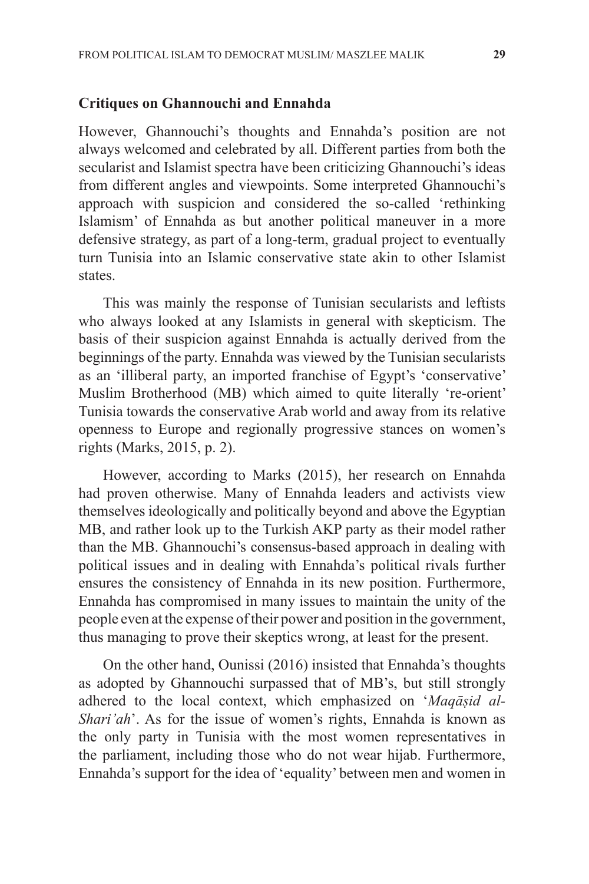#### **Critiques on Ghannouchi and Ennahda**

However, Ghannouchi's thoughts and Ennahda's position are not always welcomed and celebrated by all. Different parties from both the secularist and Islamist spectra have been criticizing Ghannouchi's ideas from different angles and viewpoints. Some interpreted Ghannouchi's approach with suspicion and considered the so-called 'rethinking Islamism' of Ennahda as but another political maneuver in a more defensive strategy, as part of a long-term, gradual project to eventually turn Tunisia into an Islamic conservative state akin to other Islamist states.

This was mainly the response of Tunisian secularists and leftists who always looked at any Islamists in general with skepticism. The basis of their suspicion against Ennahda is actually derived from the beginnings of the party. Ennahda was viewed by the Tunisian secularists as an 'illiberal party, an imported franchise of Egypt's 'conservative' Muslim Brotherhood (MB) which aimed to quite literally 're-orient' Tunisia towards the conservative Arab world and away from its relative openness to Europe and regionally progressive stances on women's rights (Marks, 2015, p. 2).

However, according to Marks (2015), her research on Ennahda had proven otherwise. Many of Ennahda leaders and activists view themselves ideologically and politically beyond and above the Egyptian MB, and rather look up to the Turkish AKP party as their model rather than the MB. Ghannouchi's consensus-based approach in dealing with political issues and in dealing with Ennahda's political rivals further ensures the consistency of Ennahda in its new position. Furthermore, Ennahda has compromised in many issues to maintain the unity of the people even at the expense of their power and position in the government, thus managing to prove their skeptics wrong, at least for the present.

On the other hand, Ounissi (2016) insisted that Ennahda's thoughts as adopted by Ghannouchi surpassed that of MB's, but still strongly adhered to the local context, which emphasized on '*Maqāṣid al-Shari'ah*'. As for the issue of women's rights, Ennahda is known as the only party in Tunisia with the most women representatives in the parliament, including those who do not wear hijab. Furthermore, Ennahda's support for the idea of 'equality' between men and women in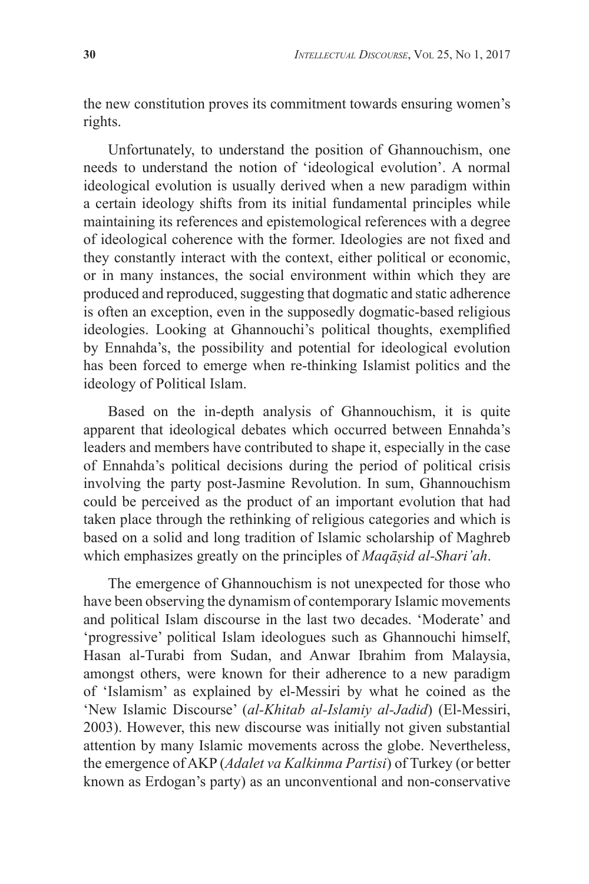the new constitution proves its commitment towards ensuring women's rights.

Unfortunately, to understand the position of Ghannouchism, one needs to understand the notion of 'ideological evolution'. A normal ideological evolution is usually derived when a new paradigm within a certain ideology shifts from its initial fundamental principles while maintaining its references and epistemological references with a degree of ideological coherence with the former. Ideologies are not fixed and they constantly interact with the context, either political or economic, or in many instances, the social environment within which they are produced and reproduced, suggesting that dogmatic and static adherence is often an exception, even in the supposedly dogmatic-based religious ideologies. Looking at Ghannouchi's political thoughts, exemplified by Ennahda's, the possibility and potential for ideological evolution has been forced to emerge when re-thinking Islamist politics and the ideology of Political Islam.

Based on the in-depth analysis of Ghannouchism, it is quite apparent that ideological debates which occurred between Ennahda's leaders and members have contributed to shape it, especially in the case of Ennahda's political decisions during the period of political crisis involving the party post-Jasmine Revolution. In sum, Ghannouchism could be perceived as the product of an important evolution that had taken place through the rethinking of religious categories and which is based on a solid and long tradition of Islamic scholarship of Maghreb which emphasizes greatly on the principles of *Maqāṣid al-Shari'ah*.

The emergence of Ghannouchism is not unexpected for those who have been observing the dynamism of contemporary Islamic movements and political Islam discourse in the last two decades. 'Moderate' and 'progressive' political Islam ideologues such as Ghannouchi himself, Hasan al-Turabi from Sudan, and Anwar Ibrahim from Malaysia, amongst others, were known for their adherence to a new paradigm of 'Islamism' as explained by el-Messiri by what he coined as the 'New Islamic Discourse' (*al-Khitab al-Islamiy al-Jadid*) (El-Messiri, 2003). However, this new discourse was initially not given substantial attention by many Islamic movements across the globe. Nevertheless, the emergence of AKP (*Adalet va Kalkinma Partisi*) of Turkey (or better known as Erdogan's party) as an unconventional and non-conservative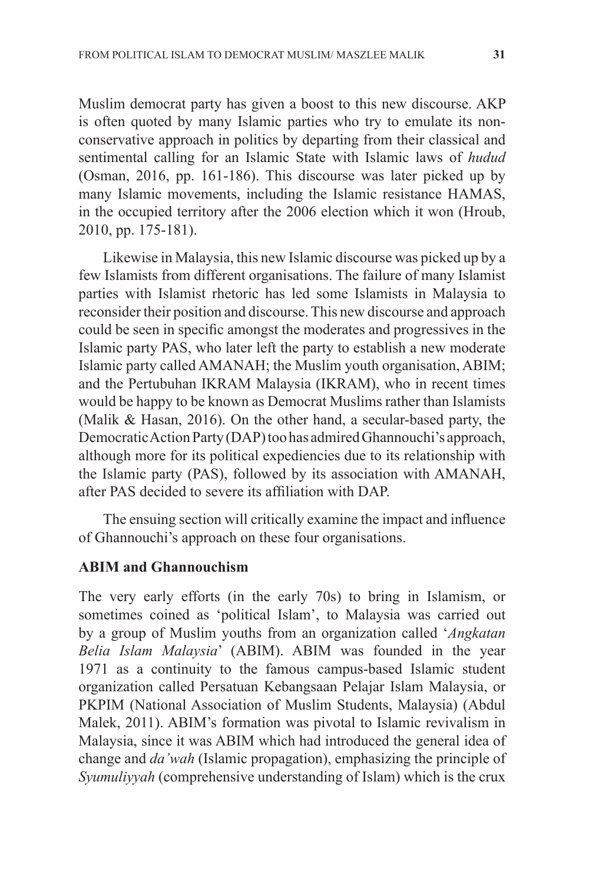Muslim democrat party has given a boost to this new discourse. AKP is often quoted by many Islamic parties who try to emulate its nonconservative approach in politics by departing from their classical and sentimental calling for an Islamic State with Islamic laws of *hudud* (Osman, 2016, pp. 161-186). This discourse was later picked up by many Islamic movements, including the Islamic resistance HAMAS, in the occupied territory after the 2006 election which it won (Hroub, 2010, pp. 175-181).

Likewise in Malaysia, this new Islamic discourse was picked up by a few Islamists from different organisations. The failure of many Islamist parties with Islamist rhetoric has led some Islamists in Malaysia to reconsider their position and discourse. This new discourse and approach could be seen in specific amongst the moderates and progressives in the Islamic party PAS, who later left the party to establish a new moderate Islamic party called AMANAH; the Muslim youth organisation, ABIM; and the Pertubuhan IKRAM Malaysia (IKRAM), who in recent times would be happy to be known as Democrat Muslims rather than Islamists (Malik & Hasan, 2016). On the other hand, a secular-based party, the Democratic Action Party (DAP) too has admired Ghannouchi's approach, although more for its political expediencies due to its relationship with the Islamic party (PAS), followed by its association with AMANAH, after PAS decided to severe its affiliation with DAP.

The ensuing section will critically examine the impact and influence of Ghannouchi's approach on these four organisations.

### **ABIM and Ghannouchism**

The very early efforts (in the early 70s) to bring in Islamism, or sometimes coined as 'political Islam', to Malaysia was carried out by a group of Muslim youths from an organization called '*Angkatan Belia Islam Malaysia*' (ABIM). ABIM was founded in the year 1971 as a continuity to the famous campus-based Islamic student organization called Persatuan Kebangsaan Pelajar Islam Malaysia, or PKPIM (National Association of Muslim Students, Malaysia) (Abdul Malek, 2011). ABIM's formation was pivotal to Islamic revivalism in Malaysia, since it was ABIM which had introduced the general idea of change and *da'wah* (Islamic propagation), emphasizing the principle of *Syumuliyyah* (comprehensive understanding of Islam) which is the crux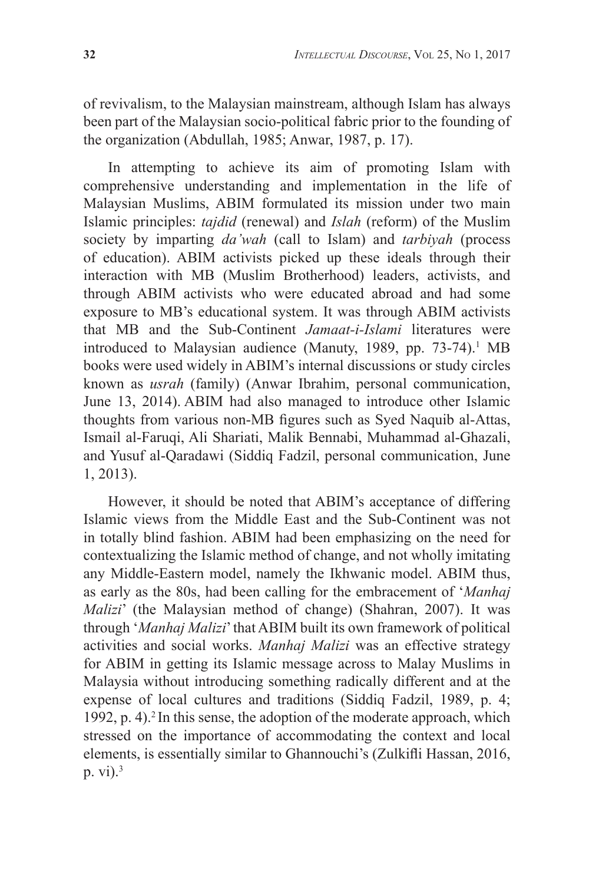of revivalism, to the Malaysian mainstream, although Islam has always been part of the Malaysian socio-political fabric prior to the founding of the organization (Abdullah, 1985; Anwar, 1987, p. 17).

In attempting to achieve its aim of promoting Islam with comprehensive understanding and implementation in the life of Malaysian Muslims, ABIM formulated its mission under two main Islamic principles: *tajdid* (renewal) and *Islah* (reform) of the Muslim society by imparting *da'wah* (call to Islam) and *tarbiyah* (process of education). ABIM activists picked up these ideals through their interaction with MB (Muslim Brotherhood) leaders, activists, and through ABIM activists who were educated abroad and had some exposure to MB's educational system. It was through ABIM activists that MB and the Sub-Continent *Jamaat-i-Islami* literatures were introduced to Malaysian audience (Manuty, 1989, pp. 73-74).<sup>1</sup> MB books were used widely in ABIM's internal discussions or study circles known as *usrah* (family) (Anwar Ibrahim, personal communication, June 13, 2014). ABIM had also managed to introduce other Islamic thoughts from various non-MB figures such as Syed Naquib al-Attas, Ismail al-Faruqi, Ali Shariati, Malik Bennabi, Muhammad al-Ghazali, and Yusuf al-Qaradawi (Siddiq Fadzil, personal communication, June 1, 2013).

However, it should be noted that ABIM's acceptance of differing Islamic views from the Middle East and the Sub-Continent was not in totally blind fashion. ABIM had been emphasizing on the need for contextualizing the Islamic method of change, and not wholly imitating any Middle-Eastern model, namely the Ikhwanic model. ABIM thus, as early as the 80s, had been calling for the embracement of '*Manhaj Malizi*' (the Malaysian method of change) (Shahran, 2007). It was through '*Manhaj Malizi*' that ABIM built its own framework of political activities and social works. *Manhaj Malizi* was an effective strategy for ABIM in getting its Islamic message across to Malay Muslims in Malaysia without introducing something radically different and at the expense of local cultures and traditions (Siddiq Fadzil, 1989, p. 4; 1992, p. 4).2 In this sense, the adoption of the moderate approach, which stressed on the importance of accommodating the context and local elements, is essentially similar to Ghannouchi's (Zulkifli Hassan, 2016, p. vi $)$ .<sup>3</sup>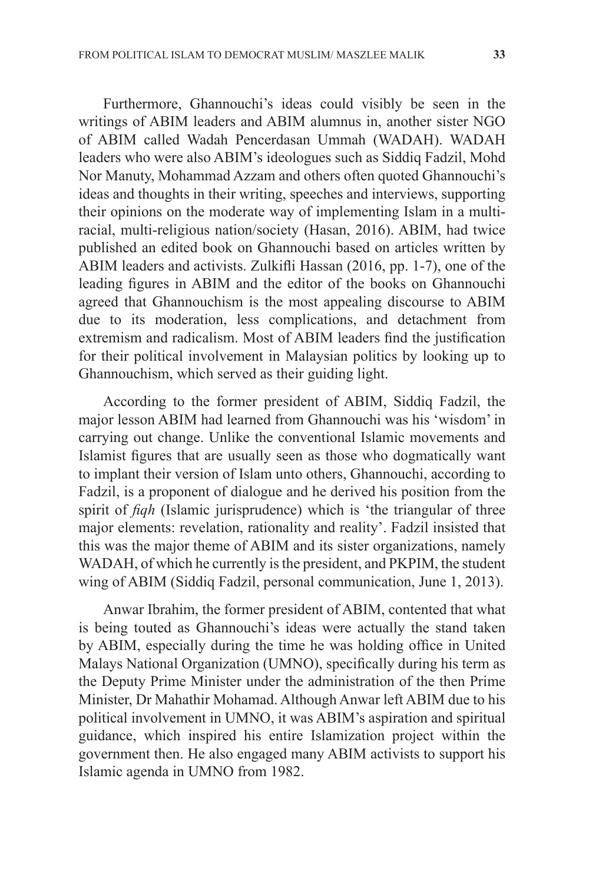Furthermore, Ghannouchi's ideas could visibly be seen in the writings of ABIM leaders and ABIM alumnus in, another sister NGO of ABIM called Wadah Pencerdasan Ummah (WADAH). WADAH leaders who were also ABIM's ideologues such as Siddiq Fadzil, Mohd Nor Manuty, Mohammad Azzam and others often quoted Ghannouchi's ideas and thoughts in their writing, speeches and interviews, supporting their opinions on the moderate way of implementing Islam in a multiracial, multi-religious nation/society (Hasan, 2016). ABIM, had twice published an edited book on Ghannouchi based on articles written by ABIM leaders and activists. Zulkifli Hassan (2016, pp. 1-7), one of the leading figures in ABIM and the editor of the books on Ghannouchi agreed that Ghannouchism is the most appealing discourse to ABIM due to its moderation, less complications, and detachment from extremism and radicalism. Most of ABIM leaders find the justification for their political involvement in Malaysian politics by looking up to Ghannouchism, which served as their guiding light.

According to the former president of ABIM, Siddiq Fadzil, the major lesson ABIM had learned from Ghannouchi was his 'wisdom' in carrying out change. Unlike the conventional Islamic movements and Islamist figures that are usually seen as those who dogmatically want to implant their version of Islam unto others, Ghannouchi, according to Fadzil, is a proponent of dialogue and he derived his position from the spirit of *fiqh* (Islamic jurisprudence) which is 'the triangular of three major elements: revelation, rationality and reality'. Fadzil insisted that this was the major theme of ABIM and its sister organizations, namely WADAH, of which he currently is the president, and PKPIM, the student wing of ABIM (Siddiq Fadzil, personal communication, June 1, 2013).

Anwar Ibrahim, the former president of ABIM, contented that what is being touted as Ghannouchi's ideas were actually the stand taken by ABIM, especially during the time he was holding office in United Malays National Organization (UMNO), specifically during his term as the Deputy Prime Minister under the administration of the then Prime Minister, Dr Mahathir Mohamad. Although Anwar left ABIM due to his political involvement in UMNO, it was ABIM's aspiration and spiritual guidance, which inspired his entire Islamization project within the government then. He also engaged many ABIM activists to support his Islamic agenda in UMNO from 1982.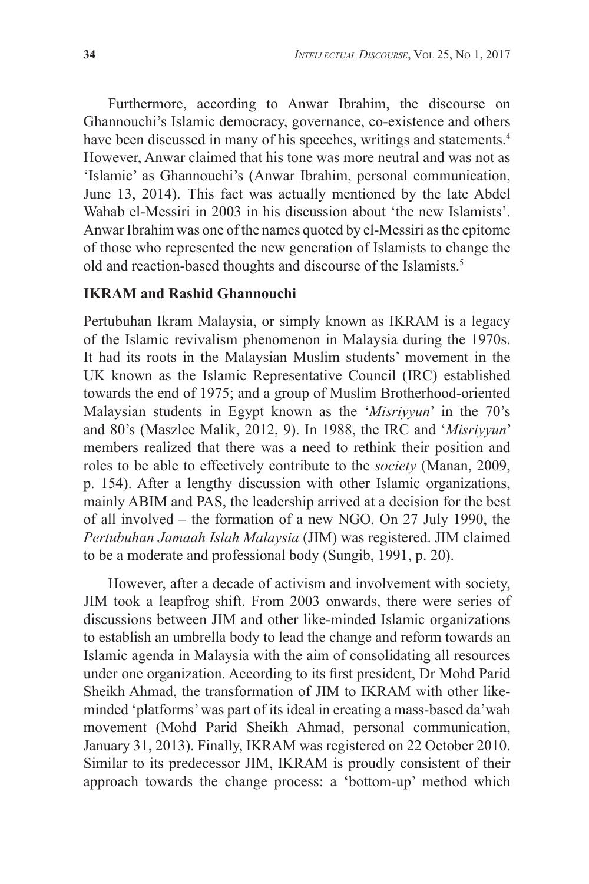Furthermore, according to Anwar Ibrahim, the discourse on Ghannouchi's Islamic democracy, governance, co-existence and others have been discussed in many of his speeches, writings and statements.<sup>4</sup> However, Anwar claimed that his tone was more neutral and was not as 'Islamic' as Ghannouchi's (Anwar Ibrahim, personal communication, June 13, 2014). This fact was actually mentioned by the late Abdel Wahab el-Messiri in 2003 in his discussion about 'the new Islamists'. Anwar Ibrahim was one of the names quoted by el-Messiri as the epitome of those who represented the new generation of Islamists to change the old and reaction-based thoughts and discourse of the Islamists.<sup>5</sup>

#### **IKRAM and Rashid Ghannouchi**

Pertubuhan Ikram Malaysia, or simply known as IKRAM is a legacy of the Islamic revivalism phenomenon in Malaysia during the 1970s. It had its roots in the Malaysian Muslim students' movement in the UK known as the Islamic Representative Council (IRC) established towards the end of 1975; and a group of Muslim Brotherhood-oriented Malaysian students in Egypt known as the '*Misriyyun*' in the 70's and 80's (Maszlee Malik, 2012, 9). In 1988, the IRC and '*Misriyyun*' members realized that there was a need to rethink their position and roles to be able to effectively contribute to the *society* (Manan, 2009, p. 154). After a lengthy discussion with other Islamic organizations, mainly ABIM and PAS, the leadership arrived at a decision for the best of all involved – the formation of a new NGO. On 27 July 1990, the *Pertubuhan Jamaah Islah Malaysia* (JIM) was registered. JIM claimed to be a moderate and professional body (Sungib, 1991, p. 20).

However, after a decade of activism and involvement with society, JIM took a leapfrog shift. From 2003 onwards, there were series of discussions between JIM and other like-minded Islamic organizations to establish an umbrella body to lead the change and reform towards an Islamic agenda in Malaysia with the aim of consolidating all resources under one organization. According to its first president, Dr Mohd Parid Sheikh Ahmad, the transformation of JIM to IKRAM with other likeminded 'platforms' was part of its ideal in creating a mass-based da'wah movement (Mohd Parid Sheikh Ahmad, personal communication, January 31, 2013). Finally, IKRAM was registered on 22 October 2010. Similar to its predecessor JIM, IKRAM is proudly consistent of their approach towards the change process: a 'bottom-up' method which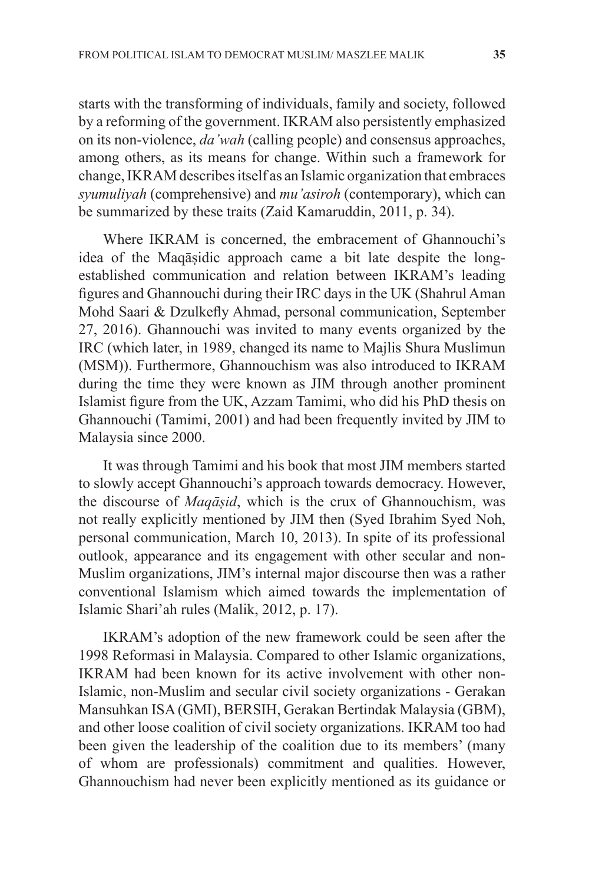starts with the transforming of individuals, family and society, followed by a reforming of the government. IKRAM also persistently emphasized on its non-violence, *da'wah* (calling people) and consensus approaches, among others, as its means for change. Within such a framework for change, IKRAM describes itself as an Islamic organization that embraces *syumuliyah* (comprehensive) and *mu'asiroh* (contemporary), which can be summarized by these traits (Zaid Kamaruddin, 2011, p. 34).

Where IKRAM is concerned, the embracement of Ghannouchi's idea of the Maqāṣidic approach came a bit late despite the longestablished communication and relation between IKRAM's leading figures and Ghannouchi during their IRC days in the UK (Shahrul Aman Mohd Saari & Dzulkefly Ahmad, personal communication, September 27, 2016). Ghannouchi was invited to many events organized by the IRC (which later, in 1989, changed its name to Majlis Shura Muslimun (MSM)). Furthermore, Ghannouchism was also introduced to IKRAM during the time they were known as JIM through another prominent Islamist figure from the UK, Azzam Tamimi, who did his PhD thesis on Ghannouchi (Tamimi, 2001) and had been frequently invited by JIM to Malaysia since 2000.

It was through Tamimi and his book that most JIM members started to slowly accept Ghannouchi's approach towards democracy. However, the discourse of *Maqāṣid*, which is the crux of Ghannouchism, was not really explicitly mentioned by JIM then (Syed Ibrahim Syed Noh, personal communication, March 10, 2013). In spite of its professional outlook, appearance and its engagement with other secular and non-Muslim organizations, JIM's internal major discourse then was a rather conventional Islamism which aimed towards the implementation of Islamic Shari'ah rules (Malik, 2012, p. 17).

IKRAM's adoption of the new framework could be seen after the 1998 Reformasi in Malaysia. Compared to other Islamic organizations, IKRAM had been known for its active involvement with other non-Islamic, non-Muslim and secular civil society organizations - Gerakan Mansuhkan ISA (GMI), BERSIH, Gerakan Bertindak Malaysia (GBM), and other loose coalition of civil society organizations. IKRAM too had been given the leadership of the coalition due to its members' (many of whom are professionals) commitment and qualities. However, Ghannouchism had never been explicitly mentioned as its guidance or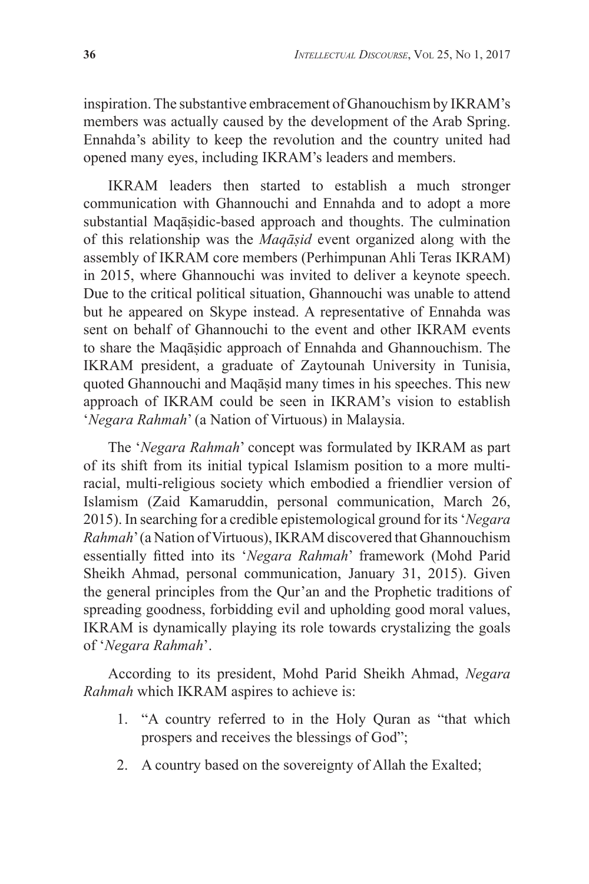inspiration. The substantive embracement of Ghanouchism by IKRAM's members was actually caused by the development of the Arab Spring. Ennahda's ability to keep the revolution and the country united had opened many eyes, including IKRAM's leaders and members.

IKRAM leaders then started to establish a much stronger communication with Ghannouchi and Ennahda and to adopt a more substantial Maqāṣidic-based approach and thoughts. The culmination of this relationship was the *Maqāṣid* event organized along with the assembly of IKRAM core members (Perhimpunan Ahli Teras IKRAM) in 2015, where Ghannouchi was invited to deliver a keynote speech. Due to the critical political situation, Ghannouchi was unable to attend but he appeared on Skype instead. A representative of Ennahda was sent on behalf of Ghannouchi to the event and other IKRAM events to share the Maqāṣidic approach of Ennahda and Ghannouchism. The IKRAM president, a graduate of Zaytounah University in Tunisia, quoted Ghannouchi and Maqāsid many times in his speeches. This new approach of IKRAM could be seen in IKRAM's vision to establish '*Negara Rahmah*' (a Nation of Virtuous) in Malaysia.

The '*Negara Rahmah*' concept was formulated by IKRAM as part of its shift from its initial typical Islamism position to a more multiracial, multi-religious society which embodied a friendlier version of Islamism (Zaid Kamaruddin, personal communication, March 26, 2015). In searching for a credible epistemological ground for its '*Negara Rahmah*' (a Nation of Virtuous), IKRAM discovered that Ghannouchism essentially fitted into its '*Negara Rahmah*' framework (Mohd Parid Sheikh Ahmad, personal communication, January 31, 2015). Given the general principles from the Qur'an and the Prophetic traditions of spreading goodness, forbidding evil and upholding good moral values, IKRAM is dynamically playing its role towards crystalizing the goals of '*Negara Rahmah*'.

According to its president, Mohd Parid Sheikh Ahmad, *Negara Rahmah* which IKRAM aspires to achieve is:

- 1. "A country referred to in the Holy Quran as "that which prospers and receives the blessings of God";
- 2. A country based on the sovereignty of Allah the Exalted;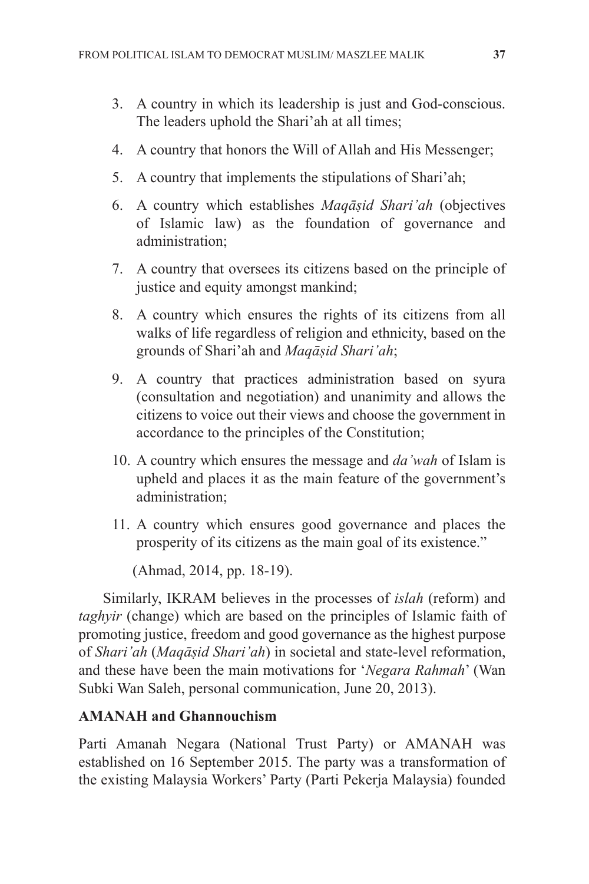- 3. A country in which its leadership is just and God-conscious. The leaders uphold the Shari'ah at all times;
- 4. A country that honors the Will of Allah and His Messenger;
- 5. A country that implements the stipulations of Shari'ah;
- 6. A country which establishes *Maqāṣid Shari'ah* (objectives of Islamic law) as the foundation of governance and administration;
- 7. A country that oversees its citizens based on the principle of justice and equity amongst mankind;
- 8. A country which ensures the rights of its citizens from all walks of life regardless of religion and ethnicity, based on the grounds of Shari'ah and *Maqāṣid Shari'ah*;
- 9. A country that practices administration based on syura (consultation and negotiation) and unanimity and allows the citizens to voice out their views and choose the government in accordance to the principles of the Constitution;
- 10. A country which ensures the message and *da'wah* of Islam is upheld and places it as the main feature of the government's administration;
- 11. A country which ensures good governance and places the prosperity of its citizens as the main goal of its existence."

(Ahmad, 2014, pp. 18-19).

Similarly, IKRAM believes in the processes of *islah* (reform) and *taghyir* (change) which are based on the principles of Islamic faith of promoting justice, freedom and good governance as the highest purpose of *Shari'ah* (*Maqāṣid Shari'ah*) in societal and state-level reformation, and these have been the main motivations for '*Negara Rahmah*' (Wan Subki Wan Saleh, personal communication, June 20, 2013).

# **AMANAH and Ghannouchism**

Parti Amanah Negara (National Trust Party) or AMANAH was established on 16 September 2015. The party was a transformation of the existing Malaysia Workers' Party (Parti Pekerja Malaysia) founded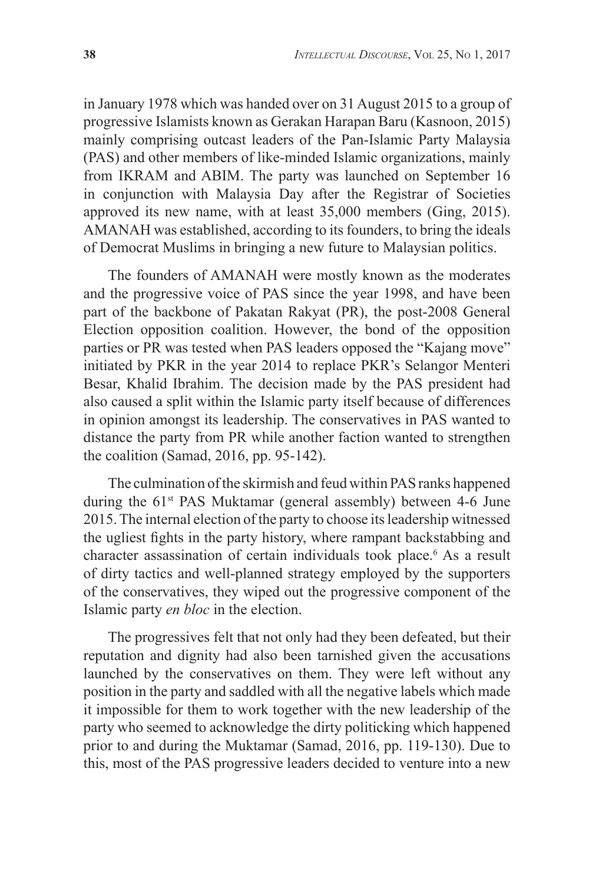in January 1978 which was handed over on 31 August 2015 to a group of progressive Islamists known as Gerakan Harapan Baru (Kasnoon, 2015) mainly comprising outcast leaders of the Pan-Islamic Party Malaysia (PAS) and other members of like-minded Islamic organizations, mainly from IKRAM and ABIM. The party was launched on September 16 in conjunction with Malaysia Day after the Registrar of Societies approved its new name, with at least 35,000 members (Ging, 2015). AMANAH was established, according to its founders, to bring the ideals of Democrat Muslims in bringing a new future to Malaysian politics.

The founders of AMANAH were mostly known as the moderates and the progressive voice of PAS since the year 1998, and have been part of the backbone of Pakatan Rakyat (PR), the post-2008 General Election opposition coalition. However, the bond of the opposition parties or PR was tested when PAS leaders opposed the "Kajang move" initiated by PKR in the year 2014 to replace PKR's Selangor Menteri Besar, Khalid Ibrahim. The decision made by the PAS president had also caused a split within the Islamic party itself because of differences in opinion amongst its leadership. The conservatives in PAS wanted to distance the party from PR while another faction wanted to strengthen the coalition (Samad, 2016, pp. 95-142).

The culmination of the skirmish and feud within PAS ranks happened during the 61<sup>st</sup> PAS Muktamar (general assembly) between 4-6 June 2015. The internal election of the party to choose its leadership witnessed the ugliest fights in the party history, where rampant backstabbing and character assassination of certain individuals took place.<sup>6</sup> As a result of dirty tactics and well-planned strategy employed by the supporters of the conservatives, they wiped out the progressive component of the Islamic party *en bloc* in the election.

The progressives felt that not only had they been defeated, but their reputation and dignity had also been tarnished given the accusations launched by the conservatives on them. They were left without any position in the party and saddled with all the negative labels which made it impossible for them to work together with the new leadership of the party who seemed to acknowledge the dirty politicking which happened prior to and during the Muktamar (Samad, 2016, pp. 119-130). Due to this, most of the PAS progressive leaders decided to venture into a new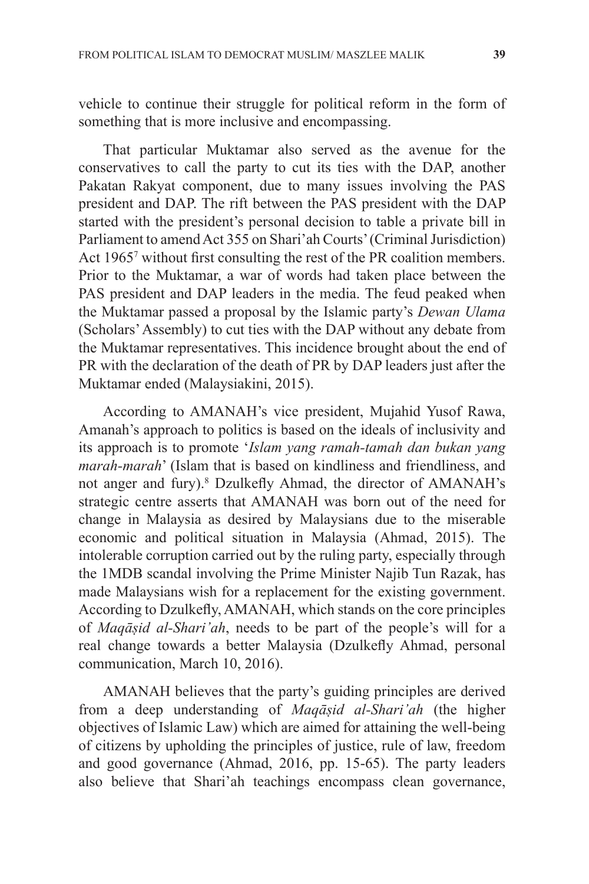vehicle to continue their struggle for political reform in the form of something that is more inclusive and encompassing.

That particular Muktamar also served as the avenue for the conservatives to call the party to cut its ties with the DAP, another Pakatan Rakyat component, due to many issues involving the PAS president and DAP. The rift between the PAS president with the DAP started with the president's personal decision to table a private bill in Parliament to amend Act 355 on Shari'ah Courts' (Criminal Jurisdiction) Act 1965<sup>7</sup> without first consulting the rest of the PR coalition members. Prior to the Muktamar, a war of words had taken place between the PAS president and DAP leaders in the media. The feud peaked when the Muktamar passed a proposal by the Islamic party's *Dewan Ulama* (Scholars' Assembly) to cut ties with the DAP without any debate from the Muktamar representatives. This incidence brought about the end of PR with the declaration of the death of PR by DAP leaders just after the Muktamar ended (Malaysiakini, 2015).

According to AMANAH's vice president, Mujahid Yusof Rawa, Amanah's approach to politics is based on the ideals of inclusivity and its approach is to promote '*Islam yang ramah-tamah dan bukan yang marah-marah*' (Islam that is based on kindliness and friendliness, and not anger and fury).<sup>8</sup> Dzulkefly Ahmad, the director of AMANAH's strategic centre asserts that AMANAH was born out of the need for change in Malaysia as desired by Malaysians due to the miserable economic and political situation in Malaysia (Ahmad, 2015). The intolerable corruption carried out by the ruling party, especially through the 1MDB scandal involving the Prime Minister Najib Tun Razak, has made Malaysians wish for a replacement for the existing government. According to Dzulkefly, AMANAH, which stands on the core principles of *Maqāṣid al-Shari'ah*, needs to be part of the people's will for a real change towards a better Malaysia (Dzulkefly Ahmad, personal communication, March 10, 2016).

AMANAH believes that the party's guiding principles are derived from a deep understanding of *Maqāṣid al-Shari'ah* (the higher objectives of Islamic Law) which are aimed for attaining the well-being of citizens by upholding the principles of justice, rule of law, freedom and good governance (Ahmad, 2016, pp. 15-65). The party leaders also believe that Shari'ah teachings encompass clean governance,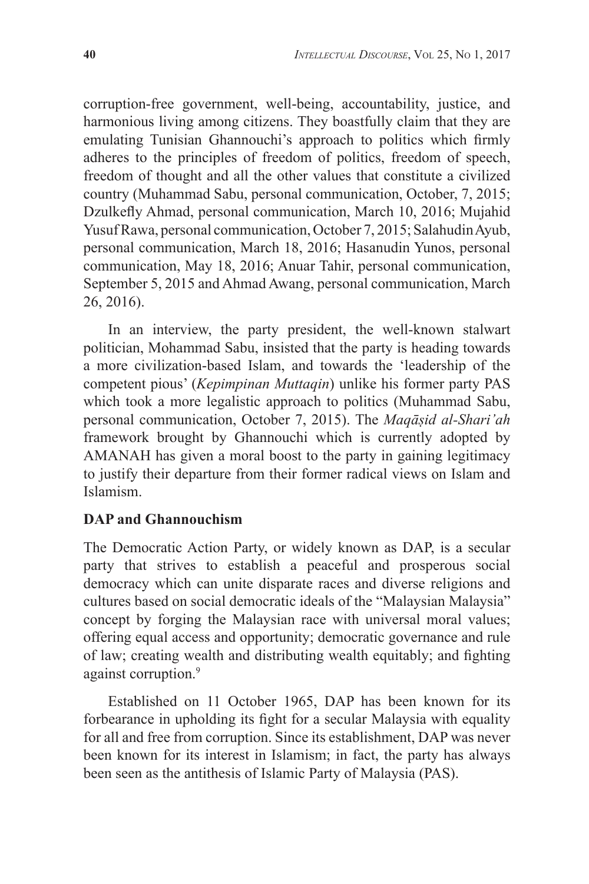corruption-free government, well-being, accountability, justice, and harmonious living among citizens. They boastfully claim that they are emulating Tunisian Ghannouchi's approach to politics which firmly adheres to the principles of freedom of politics, freedom of speech, freedom of thought and all the other values that constitute a civilized country (Muhammad Sabu, personal communication, October, 7, 2015; Dzulkefly Ahmad, personal communication, March 10, 2016; Mujahid Yusuf Rawa, personal communication, October 7, 2015; Salahudin Ayub, personal communication, March 18, 2016; Hasanudin Yunos, personal communication, May 18, 2016; Anuar Tahir, personal communication, September 5, 2015 and Ahmad Awang, personal communication, March 26, 2016).

In an interview, the party president, the well-known stalwart politician, Mohammad Sabu, insisted that the party is heading towards a more civilization-based Islam, and towards the 'leadership of the competent pious' (*Kepimpinan Muttaqin*) unlike his former party PAS which took a more legalistic approach to politics (Muhammad Sabu, personal communication, October 7, 2015). The *Maqāṣid al-Shari'ah* framework brought by Ghannouchi which is currently adopted by AMANAH has given a moral boost to the party in gaining legitimacy to justify their departure from their former radical views on Islam and Islamism.

# **DAP and Ghannouchism**

The Democratic Action Party, or widely known as DAP, is a secular party that strives to establish a peaceful and prosperous social democracy which can unite disparate races and diverse religions and cultures based on social democratic ideals of the "Malaysian Malaysia" concept by forging the Malaysian race with universal moral values; offering equal access and opportunity; democratic governance and rule of law; creating wealth and distributing wealth equitably; and fighting against corruption.<sup>9</sup>

Established on 11 October 1965, DAP has been known for its forbearance in upholding its fight for a secular Malaysia with equality for all and free from corruption. Since its establishment, DAP was never been known for its interest in Islamism; in fact, the party has always been seen as the antithesis of Islamic Party of Malaysia (PAS).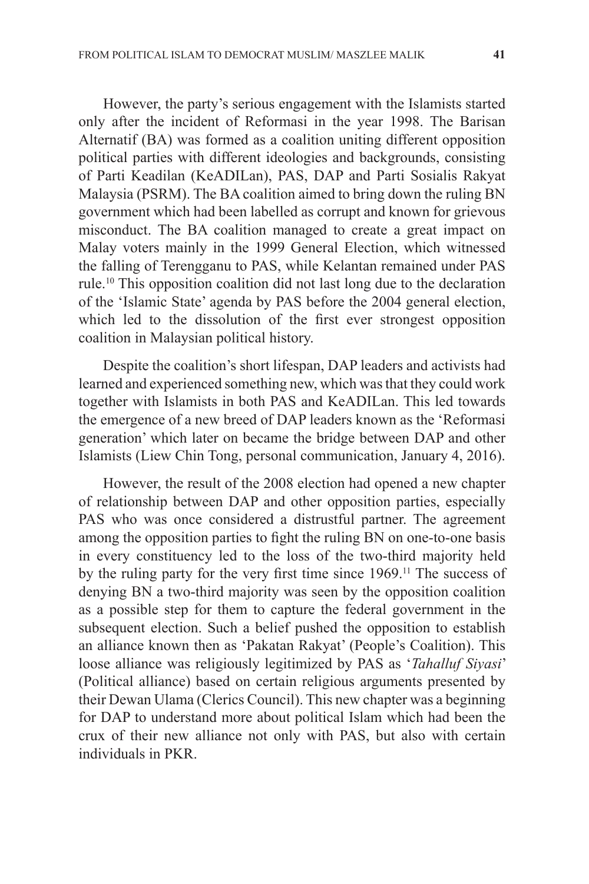However, the party's serious engagement with the Islamists started only after the incident of Reformasi in the year 1998. The Barisan Alternatif (BA) was formed as a coalition uniting different opposition political parties with different ideologies and backgrounds, consisting of Parti Keadilan (KeADILan), PAS, DAP and Parti Sosialis Rakyat Malaysia (PSRM). The BA coalition aimed to bring down the ruling BN government which had been labelled as corrupt and known for grievous misconduct. The BA coalition managed to create a great impact on Malay voters mainly in the 1999 General Election, which witnessed the falling of Terengganu to PAS, while Kelantan remained under PAS rule.10 This opposition coalition did not last long due to the declaration of the 'Islamic State' agenda by PAS before the 2004 general election, which led to the dissolution of the first ever strongest opposition coalition in Malaysian political history.

Despite the coalition's short lifespan, DAP leaders and activists had learned and experienced something new, which was that they could work together with Islamists in both PAS and KeADILan. This led towards the emergence of a new breed of DAP leaders known as the 'Reformasi generation' which later on became the bridge between DAP and other Islamists (Liew Chin Tong, personal communication, January 4, 2016).

However, the result of the 2008 election had opened a new chapter of relationship between DAP and other opposition parties, especially PAS who was once considered a distrustful partner. The agreement among the opposition parties to fight the ruling BN on one-to-one basis in every constituency led to the loss of the two-third majority held by the ruling party for the very first time since 1969.<sup>11</sup> The success of denying BN a two-third majority was seen by the opposition coalition as a possible step for them to capture the federal government in the subsequent election. Such a belief pushed the opposition to establish an alliance known then as 'Pakatan Rakyat' (People's Coalition). This loose alliance was religiously legitimized by PAS as '*Tahalluf Siyasi*' (Political alliance) based on certain religious arguments presented by their Dewan Ulama (Clerics Council). This new chapter was a beginning for DAP to understand more about political Islam which had been the crux of their new alliance not only with PAS, but also with certain individuals in PKR.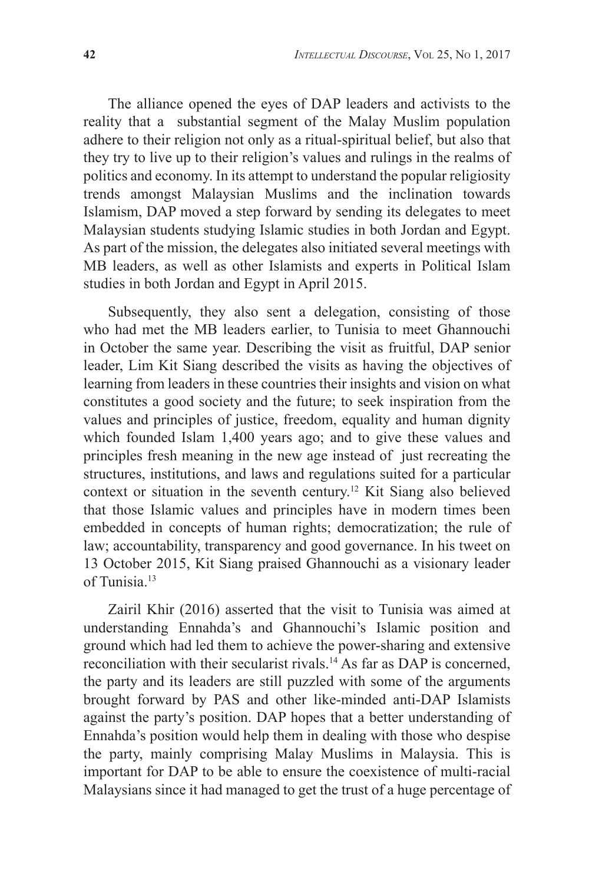The alliance opened the eyes of DAP leaders and activists to the reality that a substantial segment of the Malay Muslim population adhere to their religion not only as a ritual-spiritual belief, but also that they try to live up to their religion's values and rulings in the realms of politics and economy. In its attempt to understand the popular religiosity trends amongst Malaysian Muslims and the inclination towards Islamism, DAP moved a step forward by sending its delegates to meet Malaysian students studying Islamic studies in both Jordan and Egypt. As part of the mission, the delegates also initiated several meetings with MB leaders, as well as other Islamists and experts in Political Islam studies in both Jordan and Egypt in April 2015.

Subsequently, they also sent a delegation, consisting of those who had met the MB leaders earlier, to Tunisia to meet Ghannouchi in October the same year. Describing the visit as fruitful, DAP senior leader, Lim Kit Siang described the visits as having the objectives of learning from leaders in these countries their insights and vision on what constitutes a good society and the future; to seek inspiration from the values and principles of justice, freedom, equality and human dignity which founded Islam 1,400 years ago; and to give these values and principles fresh meaning in the new age instead of just recreating the structures, institutions, and laws and regulations suited for a particular context or situation in the seventh century.12 Kit Siang also believed that those Islamic values and principles have in modern times been embedded in concepts of human rights; democratization; the rule of law; accountability, transparency and good governance. In his tweet on 13 October 2015, Kit Siang praised Ghannouchi as a visionary leader of Tunisia.13

Zairil Khir (2016) asserted that the visit to Tunisia was aimed at understanding Ennahda's and Ghannouchi's Islamic position and ground which had led them to achieve the power-sharing and extensive reconciliation with their secularist rivals.14 As far as DAP is concerned, the party and its leaders are still puzzled with some of the arguments brought forward by PAS and other like-minded anti-DAP Islamists against the party's position. DAP hopes that a better understanding of Ennahda's position would help them in dealing with those who despise the party, mainly comprising Malay Muslims in Malaysia. This is important for DAP to be able to ensure the coexistence of multi-racial Malaysians since it had managed to get the trust of a huge percentage of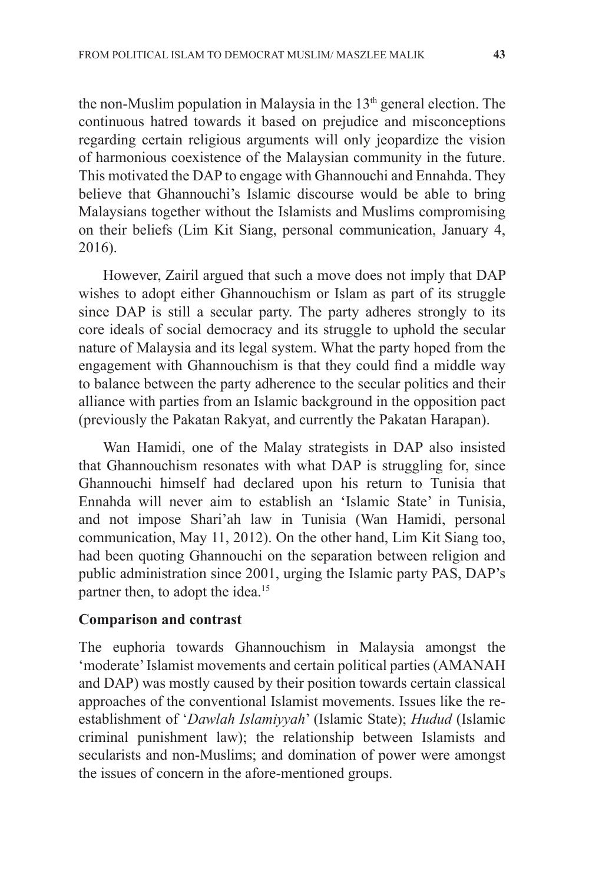the non-Muslim population in Malaysia in the  $13<sup>th</sup>$  general election. The continuous hatred towards it based on prejudice and misconceptions regarding certain religious arguments will only jeopardize the vision of harmonious coexistence of the Malaysian community in the future. This motivated the DAP to engage with Ghannouchi and Ennahda. They believe that Ghannouchi's Islamic discourse would be able to bring Malaysians together without the Islamists and Muslims compromising on their beliefs (Lim Kit Siang, personal communication, January 4, 2016).

However, Zairil argued that such a move does not imply that DAP wishes to adopt either Ghannouchism or Islam as part of its struggle since DAP is still a secular party. The party adheres strongly to its core ideals of social democracy and its struggle to uphold the secular nature of Malaysia and its legal system. What the party hoped from the engagement with Ghannouchism is that they could find a middle way to balance between the party adherence to the secular politics and their alliance with parties from an Islamic background in the opposition pact (previously the Pakatan Rakyat, and currently the Pakatan Harapan).

Wan Hamidi, one of the Malay strategists in DAP also insisted that Ghannouchism resonates with what DAP is struggling for, since Ghannouchi himself had declared upon his return to Tunisia that Ennahda will never aim to establish an 'Islamic State' in Tunisia, and not impose Shari'ah law in Tunisia (Wan Hamidi, personal communication, May 11, 2012). On the other hand, Lim Kit Siang too, had been quoting Ghannouchi on the separation between religion and public administration since 2001, urging the Islamic party PAS, DAP's partner then, to adopt the idea.<sup>15</sup>

## **Comparison and contrast**

The euphoria towards Ghannouchism in Malaysia amongst the 'moderate' Islamist movements and certain political parties (AMANAH and DAP) was mostly caused by their position towards certain classical approaches of the conventional Islamist movements. Issues like the reestablishment of '*Dawlah Islamiyyah*' (Islamic State); *Hudud* (Islamic criminal punishment law); the relationship between Islamists and secularists and non-Muslims; and domination of power were amongst the issues of concern in the afore-mentioned groups.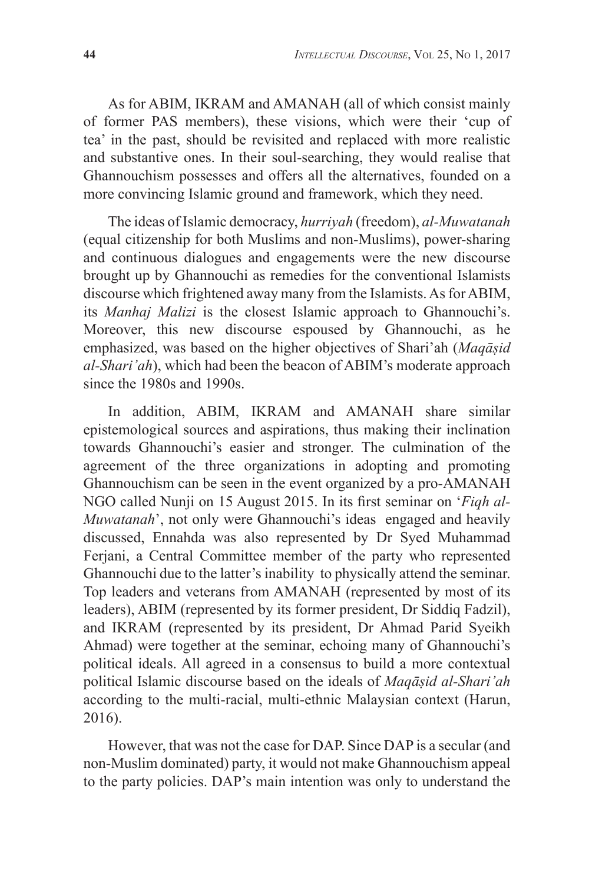As for ABIM, IKRAM and AMANAH (all of which consist mainly of former PAS members), these visions, which were their 'cup of tea' in the past, should be revisited and replaced with more realistic and substantive ones. In their soul-searching, they would realise that Ghannouchism possesses and offers all the alternatives, founded on a more convincing Islamic ground and framework, which they need.

The ideas of Islamic democracy, *hurriyah* (freedom), *al-Muwatanah* (equal citizenship for both Muslims and non-Muslims), power-sharing and continuous dialogues and engagements were the new discourse brought up by Ghannouchi as remedies for the conventional Islamists discourse which frightened away many from the Islamists. As for ABIM, its *Manhaj Malizi* is the closest Islamic approach to Ghannouchi's. Moreover, this new discourse espoused by Ghannouchi, as he emphasized, was based on the higher objectives of Shari'ah (*Maqāṣid al-Shari'ah*), which had been the beacon of ABIM's moderate approach since the 1980s and 1990s.

In addition, ABIM, IKRAM and AMANAH share similar epistemological sources and aspirations, thus making their inclination towards Ghannouchi's easier and stronger. The culmination of the agreement of the three organizations in adopting and promoting Ghannouchism can be seen in the event organized by a pro-AMANAH NGO called Nunji on 15 August 2015. In its first seminar on '*Fiqh al-Muwatanah*', not only were Ghannouchi's ideas engaged and heavily discussed, Ennahda was also represented by Dr Syed Muhammad Ferjani, a Central Committee member of the party who represented Ghannouchi due to the latter's inability to physically attend the seminar. Top leaders and veterans from AMANAH (represented by most of its leaders), ABIM (represented by its former president, Dr Siddiq Fadzil), and IKRAM (represented by its president, Dr Ahmad Parid Syeikh Ahmad) were together at the seminar, echoing many of Ghannouchi's political ideals. All agreed in a consensus to build a more contextual political Islamic discourse based on the ideals of *Maqāṣid al-Shari'ah* according to the multi-racial, multi-ethnic Malaysian context (Harun, 2016).

However, that was not the case for DAP. Since DAP is a secular (and non-Muslim dominated) party, it would not make Ghannouchism appeal to the party policies. DAP's main intention was only to understand the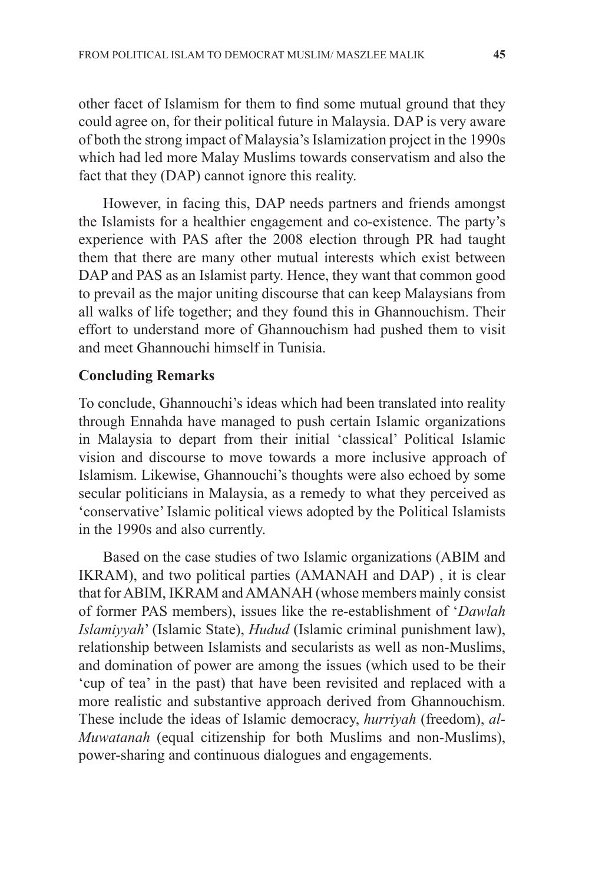other facet of Islamism for them to find some mutual ground that they could agree on, for their political future in Malaysia. DAP is very aware of both the strong impact of Malaysia's Islamization project in the 1990s which had led more Malay Muslims towards conservatism and also the fact that they (DAP) cannot ignore this reality.

However, in facing this, DAP needs partners and friends amongst the Islamists for a healthier engagement and co-existence. The party's experience with PAS after the 2008 election through PR had taught them that there are many other mutual interests which exist between DAP and PAS as an Islamist party. Hence, they want that common good to prevail as the major uniting discourse that can keep Malaysians from all walks of life together; and they found this in Ghannouchism. Their effort to understand more of Ghannouchism had pushed them to visit and meet Ghannouchi himself in Tunisia.

#### **Concluding Remarks**

To conclude, Ghannouchi's ideas which had been translated into reality through Ennahda have managed to push certain Islamic organizations in Malaysia to depart from their initial 'classical' Political Islamic vision and discourse to move towards a more inclusive approach of Islamism. Likewise, Ghannouchi's thoughts were also echoed by some secular politicians in Malaysia, as a remedy to what they perceived as 'conservative' Islamic political views adopted by the Political Islamists in the 1990s and also currently.

Based on the case studies of two Islamic organizations (ABIM and IKRAM), and two political parties (AMANAH and DAP) , it is clear that for ABIM, IKRAM and AMANAH (whose members mainly consist of former PAS members), issues like the re-establishment of '*Dawlah Islamiyyah*' (Islamic State), *Hudud* (Islamic criminal punishment law), relationship between Islamists and secularists as well as non-Muslims, and domination of power are among the issues (which used to be their 'cup of tea' in the past) that have been revisited and replaced with a more realistic and substantive approach derived from Ghannouchism. These include the ideas of Islamic democracy, *hurriyah* (freedom), *al-Muwatanah* (equal citizenship for both Muslims and non-Muslims), power-sharing and continuous dialogues and engagements.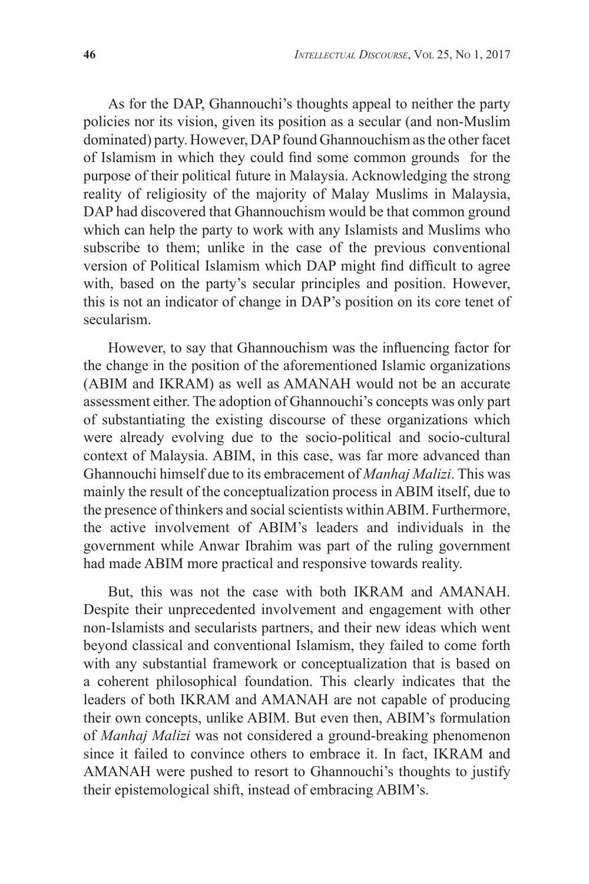As for the DAP, Ghannouchi's thoughts appeal to neither the party policies nor its vision, given its position as a secular (and non-Muslim dominated) party. However, DAP found Ghannouchism as the other facet of Islamism in which they could find some common grounds for the purpose of their political future in Malaysia. Acknowledging the strong reality of religiosity of the majority of Malay Muslims in Malaysia, DAP had discovered that Ghannouchism would be that common ground which can help the party to work with any Islamists and Muslims who subscribe to them; unlike in the case of the previous conventional version of Political Islamism which DAP might find difficult to agree with, based on the party's secular principles and position. However, this is not an indicator of change in DAP's position on its core tenet of secularism.

However, to say that Ghannouchism was the influencing factor for the change in the position of the aforementioned Islamic organizations (ABIM and IKRAM) as well as AMANAH would not be an accurate assessment either. The adoption of Ghannouchi's concepts was only part of substantiating the existing discourse of these organizations which were already evolving due to the socio-political and socio-cultural context of Malaysia. ABIM, in this case, was far more advanced than Ghannouchi himself due to its embracement of *Manhaj Malizi*. This was mainly the result of the conceptualization process in ABIM itself, due to the presence of thinkers and social scientists within ABIM. Furthermore, the active involvement of ABIM's leaders and individuals in the government while Anwar Ibrahim was part of the ruling government had made ABIM more practical and responsive towards reality.

But, this was not the case with both IKRAM and AMANAH. Despite their unprecedented involvement and engagement with other non-Islamists and secularists partners, and their new ideas which went beyond classical and conventional Islamism, they failed to come forth with any substantial framework or conceptualization that is based on a coherent philosophical foundation. This clearly indicates that the leaders of both IKRAM and AMANAH are not capable of producing their own concepts, unlike ABIM. But even then, ABIM's formulation of *Manhaj Malizi* was not considered a ground-breaking phenomenon since it failed to convince others to embrace it. In fact, IKRAM and AMANAH were pushed to resort to Ghannouchi's thoughts to justify their epistemological shift, instead of embracing ABIM's.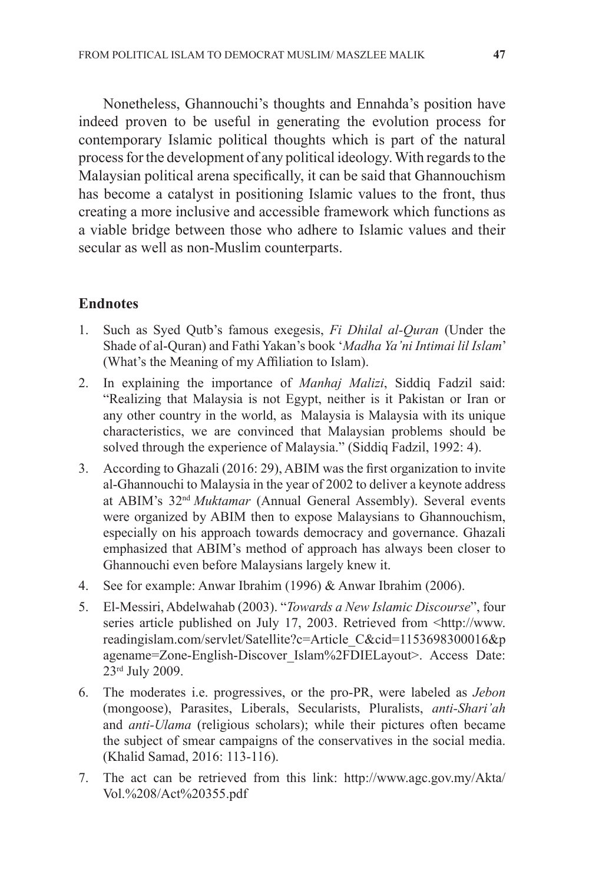Nonetheless, Ghannouchi's thoughts and Ennahda's position have indeed proven to be useful in generating the evolution process for contemporary Islamic political thoughts which is part of the natural process for the development of any political ideology. With regards to the Malaysian political arena specifically, it can be said that Ghannouchism has become a catalyst in positioning Islamic values to the front, thus creating a more inclusive and accessible framework which functions as a viable bridge between those who adhere to Islamic values and their secular as well as non-Muslim counterparts.

# **Endnotes**

- 1. Such as Syed Qutb's famous exegesis, *Fi Dhilal al-Quran* (Under the Shade of al-Quran) and Fathi Yakan's book '*Madha Ya'ni Intimai lil Islam*' (What's the Meaning of my Affiliation to Islam).
- 2. In explaining the importance of *Manhaj Malizi*, Siddiq Fadzil said: "Realizing that Malaysia is not Egypt, neither is it Pakistan or Iran or any other country in the world, as Malaysia is Malaysia with its unique characteristics, we are convinced that Malaysian problems should be solved through the experience of Malaysia." (Siddiq Fadzil, 1992: 4).
- 3. According to Ghazali (2016: 29), ABIM was the first organization to invite al-Ghannouchi to Malaysia in the year of 2002 to deliver a keynote address at ABIM's 32nd *Muktamar* (Annual General Assembly). Several events were organized by ABIM then to expose Malaysians to Ghannouchism, especially on his approach towards democracy and governance. Ghazali emphasized that ABIM's method of approach has always been closer to Ghannouchi even before Malaysians largely knew it.
- 4. See for example: Anwar Ibrahim (1996) & Anwar Ibrahim (2006).
- 5. El-Messiri, Abdelwahab (2003). "*Towards a New Islamic Discourse*", four series article published on July 17, 2003. Retrieved from  $\text{~dttp://www.}$ readingislam.com/servlet/Satellite?c=Article\_C&cid=1153698300016&p agename=Zone-English-Discover\_Islam%2FDIELayout>. Access Date: 23rd July 2009.
- 6. The moderates i.e. progressives, or the pro-PR, were labeled as *Jebon* (mongoose), Parasites, Liberals, Secularists, Pluralists, *anti-Shari'ah*  and *anti-Ulama* (religious scholars); while their pictures often became the subject of smear campaigns of the conservatives in the social media. (Khalid Samad, 2016: 113-116).
- 7. The act can be retrieved from this link: http://www.agc.gov.my/Akta/ Vol.%208/Act%20355.pdf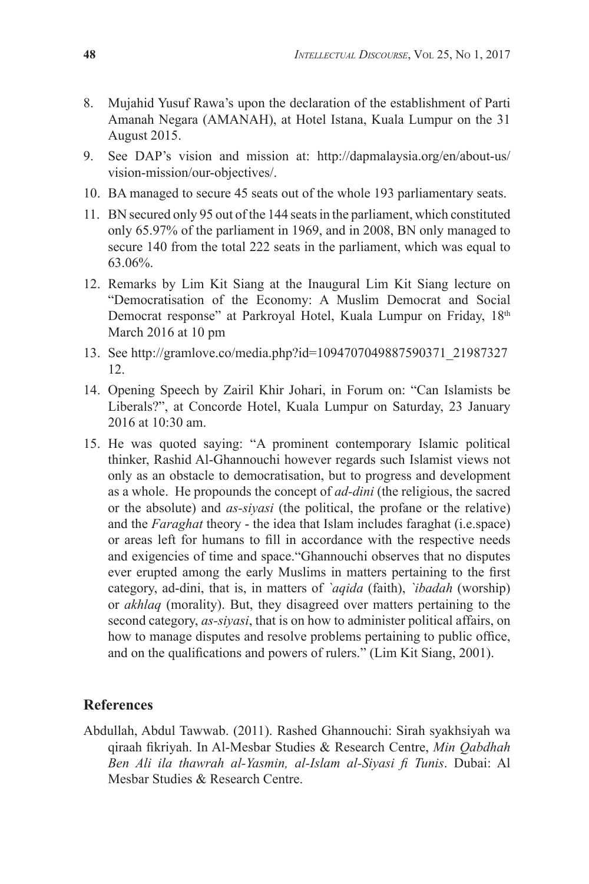- 8. Mujahid Yusuf Rawa's upon the declaration of the establishment of Parti Amanah Negara (AMANAH), at Hotel Istana, Kuala Lumpur on the 31 August 2015.
- 9. See DAP's vision and mission at: http://dapmalaysia.org/en/about-us/ vision-mission/our-objectives/.
- 10. BA managed to secure 45 seats out of the whole 193 parliamentary seats.
- 11. BN secured only 95 out of the 144 seats in the parliament, which constituted only 65.97% of the parliament in 1969, and in 2008, BN only managed to secure 140 from the total 222 seats in the parliament, which was equal to 63.06%.
- 12. Remarks by Lim Kit Siang at the Inaugural Lim Kit Siang lecture on "Democratisation of the Economy: A Muslim Democrat and Social Democrat response" at Parkroyal Hotel, Kuala Lumpur on Friday, 18<sup>th</sup> March 2016 at 10 pm
- 13. See http://gramlove.co/media.php?id=1094707049887590371\_21987327 12.
- 14. Opening Speech by Zairil Khir Johari, in Forum on: "Can Islamists be Liberals?", at Concorde Hotel, Kuala Lumpur on Saturday, 23 January 2016 at 10:30 am.
- 15. He was quoted saying: "A prominent contemporary Islamic political thinker, Rashid Al-Ghannouchi however regards such Islamist views not only as an obstacle to democratisation, but to progress and development as a whole. He propounds the concept of *ad-dini* (the religious, the sacred or the absolute) and *as-siyasi* (the political, the profane or the relative) and the *Faraghat* theory - the idea that Islam includes faraghat (i.e.space) or areas left for humans to fill in accordance with the respective needs and exigencies of time and space."Ghannouchi observes that no disputes ever erupted among the early Muslims in matters pertaining to the first category, ad-dini, that is, in matters of *`aqida* (faith), *`ibadah* (worship) or *akhlaq* (morality). But, they disagreed over matters pertaining to the second category, *as-siyasi*, that is on how to administer political affairs, on how to manage disputes and resolve problems pertaining to public office, and on the qualifications and powers of rulers." (Lim Kit Siang, 2001).

#### **References**

Abdullah, Abdul Tawwab. (2011). Rashed Ghannouchi: Sirah syakhsiyah wa qiraah fikriyah. In Al-Mesbar Studies & Research Centre, *Min Qabdhah Ben Ali ila thawrah al-Yasmin, al-Islam al-Siyasi fi Tunis*. Dubai: Al Mesbar Studies & Research Centre.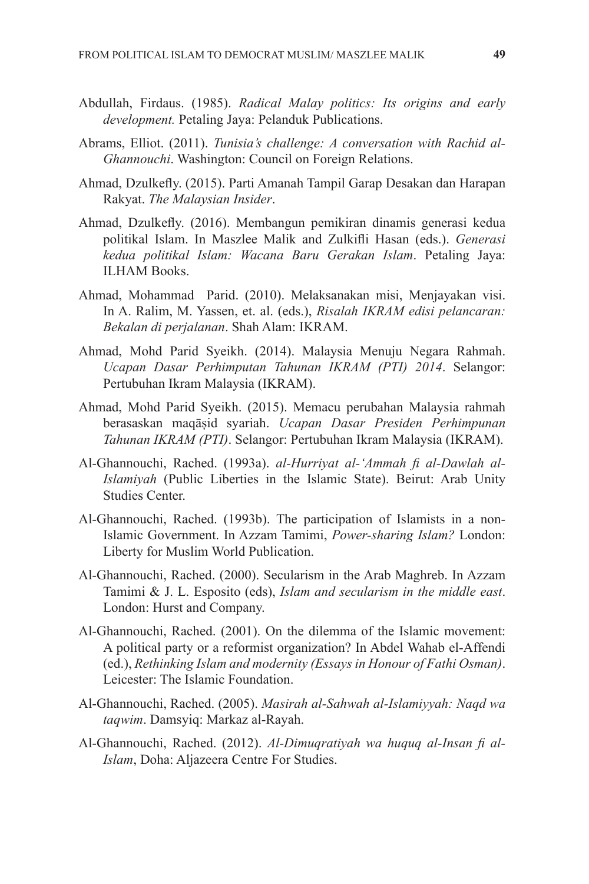- Abdullah, Firdaus. (1985). *Radical Malay politics: Its origins and early development.* Petaling Jaya: Pelanduk Publications.
- Abrams, Elliot. (2011). *Tunisia's challenge: A conversation with Rachid al-Ghannouchi*. Washington: Council on Foreign Relations.
- Ahmad, Dzulkefly. (2015). Parti Amanah Tampil Garap Desakan dan Harapan Rakyat. *The Malaysian Insider*.
- Ahmad, Dzulkefly. (2016). Membangun pemikiran dinamis generasi kedua politikal Islam. In Maszlee Malik and Zulkifli Hasan (eds.). *Generasi kedua politikal Islam: Wacana Baru Gerakan Islam*. Petaling Jaya: ILHAM Books.
- Ahmad, Mohammad Parid. (2010). Melaksanakan misi, Menjayakan visi. In A. Ralim, M. Yassen, et. al. (eds.), *Risalah IKRAM edisi pelancaran: Bekalan di perjalanan*. Shah Alam: IKRAM.
- Ahmad, Mohd Parid Syeikh. (2014). Malaysia Menuju Negara Rahmah. *Ucapan Dasar Perhimputan Tahunan IKRAM (PTI) 2014*. Selangor: Pertubuhan Ikram Malaysia (IKRAM).
- Ahmad, Mohd Parid Syeikh. (2015). Memacu perubahan Malaysia rahmah berasaskan maqāṣid syariah. *Ucapan Dasar Presiden Perhimpunan Tahunan IKRAM (PTI)*. Selangor: Pertubuhan Ikram Malaysia (IKRAM).
- Al-Ghannouchi, Rached. (1993a). *al-Hurriyat al-'Ammah fi al-Dawlah al-Islamiyah* (Public Liberties in the Islamic State). Beirut: Arab Unity Studies Center.
- Al-Ghannouchi, Rached. (1993b). The participation of Islamists in a non-Islamic Government. In Azzam Tamimi, *Power-sharing Islam?* London: Liberty for Muslim World Publication.
- Al-Ghannouchi, Rached. (2000). Secularism in the Arab Maghreb. In Azzam Tamimi & J. L. Esposito (eds), *Islam and secularism in the middle east*. London: Hurst and Company.
- Al-Ghannouchi, Rached. (2001). On the dilemma of the Islamic movement: A political party or a reformist organization? In Abdel Wahab el-Affendi (ed.), *Rethinking Islam and modernity (Essays in Honour of Fathi Osman)*. Leicester: The Islamic Foundation.
- Al-Ghannouchi, Rached. (2005). *Masirah al-Sahwah al-Islamiyyah: Naqd wa taqwim*. Damsyiq: Markaz al-Rayah.
- Al-Ghannouchi, Rached. (2012). *Al-Dimuqratiyah wa huquq al-Insan fi al-Islam*, Doha: Aljazeera Centre For Studies.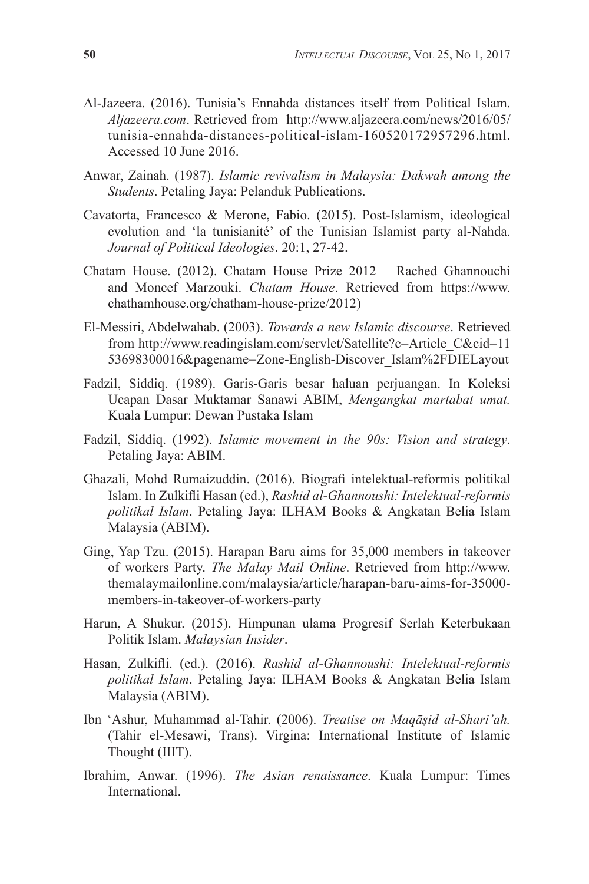- Al-Jazeera. (2016). Tunisia's Ennahda distances itself from Political Islam. *Aljazeera.com*. Retrieved from http://www.aljazeera.com/news/2016/05/ tunisia-ennahda-distances-political-islam-160520172957296.html. Accessed 10 June 2016.
- Anwar, Zainah. (1987). *Islamic revivalism in Malaysia: Dakwah among the Students*. Petaling Jaya: Pelanduk Publications.
- Cavatorta, Francesco & Merone, Fabio. (2015). Post-Islamism, ideological evolution and 'la tunisianité' of the Tunisian Islamist party al-Nahda. *Journal of Political Ideologies*. 20:1, 27-42.
- Chatam House. (2012). Chatam House Prize 2012 Rached Ghannouchi and Moncef Marzouki. *Chatam House*. Retrieved from https://www. chathamhouse.org/chatham-house-prize/2012)
- El-Messiri, Abdelwahab. (2003). *Towards a new Islamic discourse*. Retrieved from http://www.readingislam.com/servlet/Satellite?c=Article\_C&cid=11 53698300016&pagename=Zone-English-Discover\_Islam%2FDIELayout
- Fadzil, Siddiq. (1989). Garis-Garis besar haluan perjuangan. In Koleksi Ucapan Dasar Muktamar Sanawi ABIM, *Mengangkat martabat umat.* Kuala Lumpur: Dewan Pustaka Islam
- Fadzil, Siddiq. (1992). *Islamic movement in the 90s: Vision and strategy*. Petaling Jaya: ABIM.
- Ghazali, Mohd Rumaizuddin. (2016). Biografi intelektual-reformis politikal Islam. In Zulkifli Hasan (ed.), *Rashid al-Ghannoushi: Intelektual-reformis politikal Islam*. Petaling Jaya: ILHAM Books & Angkatan Belia Islam Malaysia (ABIM).
- Ging, Yap Tzu. (2015). Harapan Baru aims for 35,000 members in takeover of workers Party. *The Malay Mail Online*. Retrieved from http://www. themalaymailonline.com/malaysia/article/harapan-baru-aims-for-35000 members-in-takeover-of-workers-party
- Harun, A Shukur. (2015). Himpunan ulama Progresif Serlah Keterbukaan Politik Islam. *Malaysian Insider*.
- Hasan, Zulkifli. (ed.). (2016). *Rashid al-Ghannoushi: Intelektual-reformis politikal Islam*. Petaling Jaya: ILHAM Books & Angkatan Belia Islam Malaysia (ABIM).
- Ibn 'Ashur, Muhammad al-Tahir. (2006). *Treatise on Maqāṣid al-Shari'ah.* (Tahir el-Mesawi, Trans). Virgina: International Institute of Islamic Thought (IIIT).
- Ibrahim, Anwar. (1996). *The Asian renaissance*. Kuala Lumpur: Times International.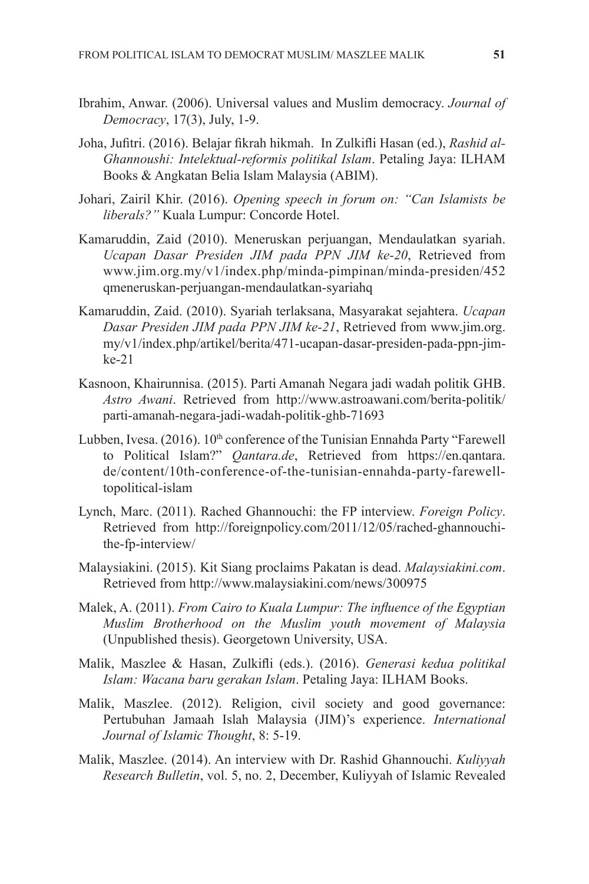- Ibrahim, Anwar. (2006). Universal values and Muslim democracy. *Journal of Democracy*, 17(3), July, 1-9.
- Joha, Jufitri. (2016). Belajar fikrah hikmah. In Zulkifli Hasan (ed.), *Rashid al-Ghannoushi: Intelektual-reformis politikal Islam*. Petaling Jaya: ILHAM Books & Angkatan Belia Islam Malaysia (ABIM).
- Johari, Zairil Khir. (2016). *Opening speech in forum on: "Can Islamists be liberals?"* Kuala Lumpur: Concorde Hotel.
- Kamaruddin, Zaid (2010). Meneruskan perjuangan, Mendaulatkan syariah. *Ucapan Dasar Presiden JIM pada PPN JIM ke-20*, Retrieved from www.jim.org.my/v1/index.php/minda-pimpinan/minda-presiden/452 qmeneruskan-perjuangan-mendaulatkan-syariahq
- Kamaruddin, Zaid. (2010). Syariah terlaksana, Masyarakat sejahtera. *Ucapan Dasar Presiden JIM pada PPN JIM ke-21*, Retrieved from www.jim.org. my/v1/index.php/artikel/berita/471-ucapan-dasar-presiden-pada-ppn-jimke-21
- Kasnoon, Khairunnisa. (2015). Parti Amanah Negara jadi wadah politik GHB. *Astro Awani*. Retrieved from http://www.astroawani.com/berita-politik/ parti-amanah-negara-jadi-wadah-politik-ghb-71693
- Lubben, Ivesa. (2016). 10<sup>th</sup> conference of the Tunisian Ennahda Party "Farewell to Political Islam?" *Qantara.de*, Retrieved from https://en.qantara. de/content/10th-conference-of-the-tunisian-ennahda-party-farewelltopolitical-islam
- Lynch, Marc. (2011). Rached Ghannouchi: the FP interview. *Foreign Policy*. Retrieved from http://foreignpolicy.com/2011/12/05/rached-ghannouchithe-fp-interview/
- Malaysiakini. (2015). Kit Siang proclaims Pakatan is dead. *Malaysiakini.com*. Retrieved from http://www.malaysiakini.com/news/300975
- Malek, A. (2011). *From Cairo to Kuala Lumpur: The influence of the Egyptian Muslim Brotherhood on the Muslim youth movement of Malaysia*  (Unpublished thesis). Georgetown University, USA.
- Malik, Maszlee & Hasan, Zulkifli (eds.). (2016). *Generasi kedua politikal Islam: Wacana baru gerakan Islam*. Petaling Jaya: ILHAM Books.
- Malik, Maszlee. (2012). Religion, civil society and good governance: Pertubuhan Jamaah Islah Malaysia (JIM)'s experience. *International Journal of Islamic Thought*, 8: 5-19.
- Malik, Maszlee. (2014). An interview with Dr. Rashid Ghannouchi. *Kuliyyah Research Bulletin*, vol. 5, no. 2, December, Kuliyyah of Islamic Revealed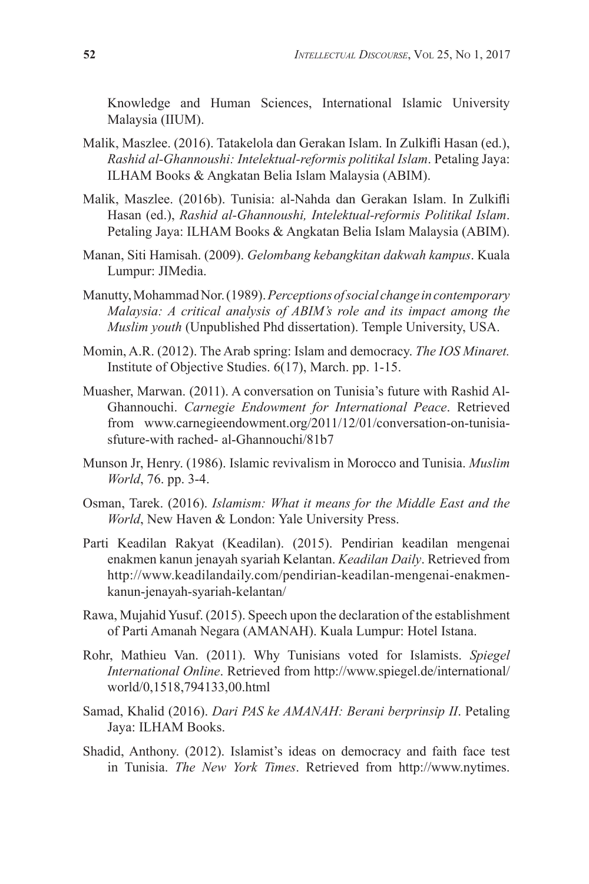Knowledge and Human Sciences, International Islamic University Malaysia (IIUM).

- Malik, Maszlee. (2016). Tatakelola dan Gerakan Islam. In Zulkifli Hasan (ed.), *Rashid al-Ghannoushi: Intelektual-reformis politikal Islam*. Petaling Jaya: ILHAM Books & Angkatan Belia Islam Malaysia (ABIM).
- Malik, Maszlee. (2016b). Tunisia: al-Nahda dan Gerakan Islam. In Zulkifli Hasan (ed.), *Rashid al-Ghannoushi, Intelektual-reformis Politikal Islam*. Petaling Jaya: ILHAM Books & Angkatan Belia Islam Malaysia (ABIM).
- Manan, Siti Hamisah. (2009). *Gelombang kebangkitan dakwah kampus*. Kuala Lumpur: JIMedia.
- Manutty, Mohammad Nor. (1989). *Perceptions of social change in contemporary Malaysia: A critical analysis of ABIM's role and its impact among the Muslim youth* (Unpublished Phd dissertation). Temple University, USA.
- Momin, A.R. (2012). The Arab spring: Islam and democracy. *The IOS Minaret.* Institute of Objective Studies. 6(17), March. pp. 1-15.
- Muasher, Marwan. (2011). A conversation on Tunisia's future with Rashid Al-Ghannouchi. *Carnegie Endowment for International Peace*. Retrieved from www.carnegieendowment.org/2011/12/01/conversation-on-tunisiasfuture-with rached- al-Ghannouchi/81b7
- Munson Jr, Henry. (1986). Islamic revivalism in Morocco and Tunisia. *Muslim World*, 76. pp. 3-4.
- Osman, Tarek. (2016). *Islamism: What it means for the Middle East and the World*, New Haven & London: Yale University Press.
- Parti Keadilan Rakyat (Keadilan). (2015). Pendirian keadilan mengenai enakmen kanun jenayah syariah Kelantan. *Keadilan Daily*. Retrieved from http://www.keadilandaily.com/pendirian-keadilan-mengenai-enakmenkanun-jenayah-syariah-kelantan/
- Rawa, Mujahid Yusuf. (2015). Speech upon the declaration of the establishment of Parti Amanah Negara (AMANAH). Kuala Lumpur: Hotel Istana.
- Rohr, Mathieu Van. (2011). Why Tunisians voted for Islamists. *Spiegel International Online*. Retrieved from http://www.spiegel.de/international/ world/0,1518,794133,00.html
- Samad, Khalid (2016). *Dari PAS ke AMANAH: Berani berprinsip II*. Petaling Jaya: ILHAM Books.
- Shadid, Anthony. (2012). Islamist's ideas on democracy and faith face test in Tunisia. *The New York Times*. Retrieved from http://www.nytimes.